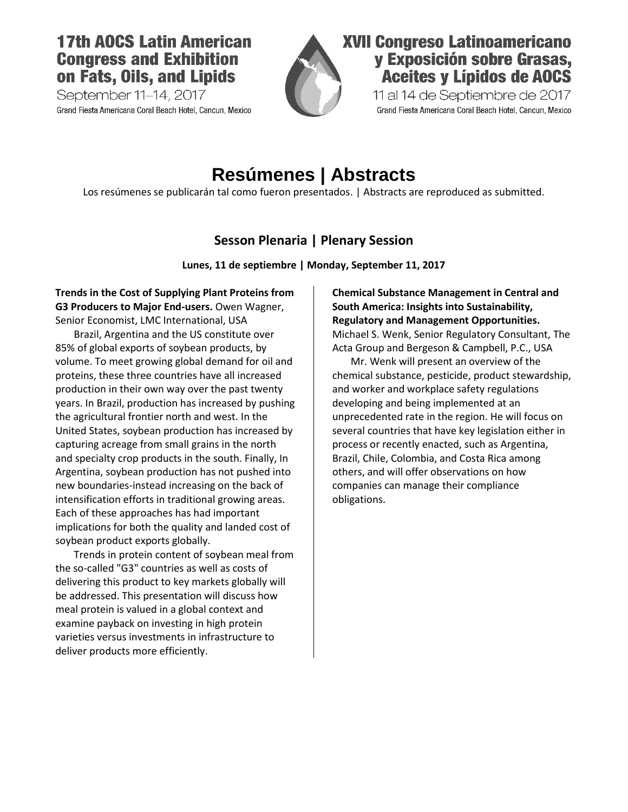## **17th AOCS Latin American Congress and Exhibition** on Fats, Oils, and Lipids

September 11–14, 2017 Grand Fiesta Americana Coral Beach Hotel, Cancun, Mexico



## **XVII Congreso Latinoamericano v Exposición sobre Grasas, Aceites y Lípidos de AOCS**

11 al 14 de Septiembre de 2017 Grand Fiesta Americana Coral Beach Hotel, Cancun, Mexico

# **Resúmenes | Abstracts**

Los resúmenes se publicarán tal como fueron presentados. | Abstracts are reproduced as submitted.

## **Sesson Plenaria | Plenary Session**

**Lunes, 11 de septiembre | Monday, September 11, 2017**

**Trends in the Cost of Supplying Plant Proteins from G3 Producers to Major End-users.** Owen Wagner, Senior Economist, LMC International, USA

Brazil, Argentina and the US constitute over 85% of global exports of soybean products, by volume. To meet growing global demand for oil and proteins, these three countries have all increased production in their own way over the past twenty years. In Brazil, production has increased by pushing the agricultural frontier north and west. In the United States, soybean production has increased by capturing acreage from small grains in the north and specialty crop products in the south. Finally, In Argentina, soybean production has not pushed into new boundaries-instead increasing on the back of intensification efforts in traditional growing areas. Each of these approaches has had important implications for both the quality and landed cost of soybean product exports globally.

Trends in protein content of soybean meal from the so-called "G3" countries as well as costs of delivering this product to key markets globally will be addressed. This presentation will discuss how meal protein is valued in a global context and examine payback on investing in high protein varieties versus investments in infrastructure to deliver products more efficiently.

**Chemical Substance Management in Central and South America: Insights into Sustainability, Regulatory and Management Opportunities.**  Michael S. Wenk, Senior Regulatory Consultant, The Acta Group and Bergeson & Campbell, P.C., USA

Mr. Wenk will present an overview of the chemical substance, pesticide, product stewardship, and worker and workplace safety regulations developing and being implemented at an unprecedented rate in the region. He will focus on several countries that have key legislation either in process or recently enacted, such as Argentina, Brazil, Chile, Colombia, and Costa Rica among others, and will offer observations on how companies can manage their compliance obligations.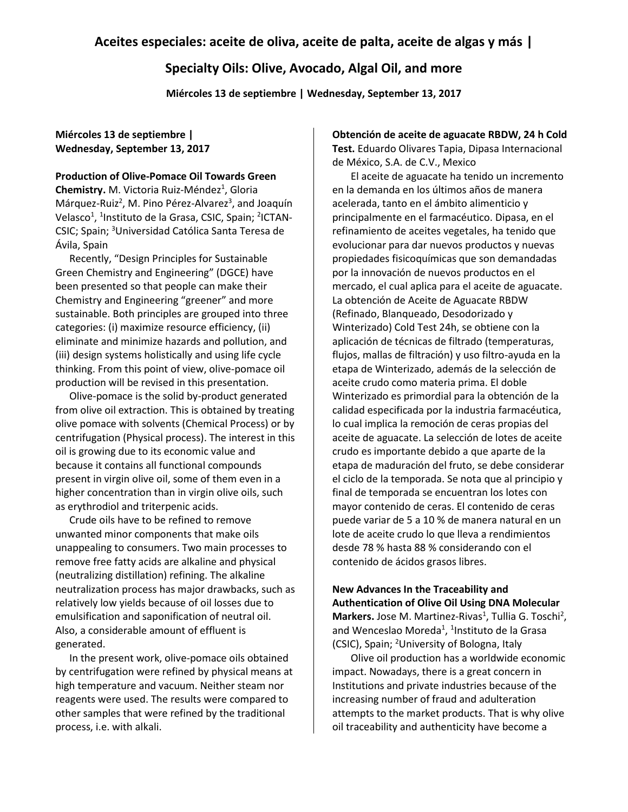### **Aceites especiales: aceite de oliva, aceite de palta, aceite de algas y más |**

### **Specialty Oils: Olive, Avocado, Algal Oil, and more**

**Miércoles 13 de septiembre | Wednesday, September 13, 2017**

#### **Miércoles 13 de septiembre | Wednesday, September 13, 2017**

#### **Production of Olive-Pomace Oil Towards Green**

Chemistry. M. Victoria Ruiz-Méndez<sup>1</sup>, Gloria Márquez-Ruiz<sup>2</sup>, M. Pino Pérez-Alvarez<sup>3</sup>, and Joaquín Velasco<sup>1</sup>, <sup>1</sup>Instituto de la Grasa, CSIC, Spain; <sup>2</sup>ICTAN-CSIC; Spain; <sup>3</sup>Universidad Católica Santa Teresa de Ávila, Spain

Recently, "Design Principles for Sustainable Green Chemistry and Engineering" (DGCE) have been presented so that people can make their Chemistry and Engineering "greener" and more sustainable. Both principles are grouped into three categories: (i) maximize resource efficiency, (ii) eliminate and minimize hazards and pollution, and (iii) design systems holistically and using life cycle thinking. From this point of view, olive-pomace oil production will be revised in this presentation.

Olive-pomace is the solid by-product generated from olive oil extraction. This is obtained by treating olive pomace with solvents (Chemical Process) or by centrifugation (Physical process). The interest in this oil is growing due to its economic value and because it contains all functional compounds present in virgin olive oil, some of them even in a higher concentration than in virgin olive oils, such as erythrodiol and triterpenic acids.

Crude oils have to be refined to remove unwanted minor components that make oils unappealing to consumers. Two main processes to remove free fatty acids are alkaline and physical (neutralizing distillation) refining. The alkaline neutralization process has major drawbacks, such as relatively low yields because of oil losses due to emulsification and saponification of neutral oil. Also, a considerable amount of effluent is generated.

In the present work, olive-pomace oils obtained by centrifugation were refined by physical means at high temperature and vacuum. Neither steam nor reagents were used. The results were compared to other samples that were refined by the traditional process, i.e. with alkali.

**Obtención de aceite de aguacate RBDW, 24 h Cold Test.** Eduardo Olivares Tapia, Dipasa Internacional de México, S.A. de C.V., Mexico

El aceite de aguacate ha tenido un incremento en la demanda en los últimos años de manera acelerada, tanto en el ámbito alimenticio y principalmente en el farmacéutico. Dipasa, en el refinamiento de aceites vegetales, ha tenido que evolucionar para dar nuevos productos y nuevas propiedades fisicoquímicas que son demandadas por la innovación de nuevos productos en el mercado, el cual aplica para el aceite de aguacate. La obtención de Aceite de Aguacate RBDW (Refinado, Blanqueado, Desodorizado y Winterizado) Cold Test 24h, se obtiene con la aplicación de técnicas de filtrado (temperaturas, flujos, mallas de filtración) y uso filtro-ayuda en la etapa de Winterizado, además de la selección de aceite crudo como materia prima. El doble Winterizado es primordial para la obtención de la calidad especificada por la industria farmacéutica, lo cual implica la remoción de ceras propias del aceite de aguacate. La selección de lotes de aceite crudo es importante debido a que aparte de la etapa de maduración del fruto, se debe considerar el ciclo de la temporada. Se nota que al principio y final de temporada se encuentran los lotes con mayor contenido de ceras. El contenido de ceras puede variar de 5 a 10 % de manera natural en un lote de aceite crudo lo que lleva a rendimientos desde 78 % hasta 88 % considerando con el contenido de ácidos grasos libres.

**New Advances In the Traceability and Authentication of Olive Oil Using DNA Molecular**  Markers. Jose M. Martinez-Rivas<sup>1</sup>, Tullia G. Toschi<sup>2</sup>, and Wenceslao Moreda<sup>1</sup>, <sup>1</sup>Instituto de la Grasa (CSIC), Spain; <sup>2</sup>University of Bologna, Italy

Olive oil production has a worldwide economic impact. Nowadays, there is a great concern in Institutions and private industries because of the increasing number of fraud and adulteration attempts to the market products. That is why olive oil traceability and authenticity have become a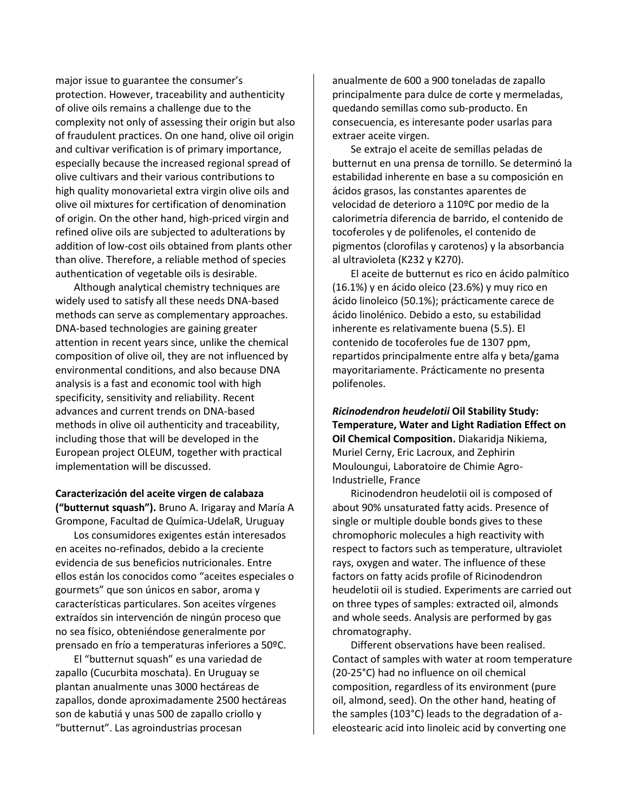major issue to guarantee the consumer's protection. However, traceability and authenticity of olive oils remains a challenge due to the complexity not only of assessing their origin but also of fraudulent practices. On one hand, olive oil origin and cultivar verification is of primary importance, especially because the increased regional spread of olive cultivars and their various contributions to high quality monovarietal extra virgin olive oils and olive oil mixtures for certification of denomination of origin. On the other hand, high-priced virgin and refined olive oils are subjected to adulterations by addition of low-cost oils obtained from plants other than olive. Therefore, a reliable method of species authentication of vegetable oils is desirable.

Although analytical chemistry techniques are widely used to satisfy all these needs DNA-based methods can serve as complementary approaches. DNA-based technologies are gaining greater attention in recent years since, unlike the chemical composition of olive oil, they are not influenced by environmental conditions, and also because DNA analysis is a fast and economic tool with high specificity, sensitivity and reliability. Recent advances and current trends on DNA-based methods in olive oil authenticity and traceability, including those that will be developed in the European project OLEUM, together with practical implementation will be discussed.

#### **Caracterización del aceite virgen de calabaza ("butternut squash").** Bruno A. Irigaray and María A Grompone, Facultad de Química-UdelaR, Uruguay

Los consumidores exigentes están interesados en aceites no-refinados, debido a la creciente evidencia de sus beneficios nutricionales. Entre ellos están los conocidos como "aceites especiales o gourmets" que son únicos en sabor, aroma y características particulares. Son aceites vírgenes extraídos sin intervención de ningún proceso que no sea físico, obteniéndose generalmente por prensado en frío a temperaturas inferiores a 50ºC.

El "butternut squash" es una variedad de zapallo (Cucurbita moschata). En Uruguay se plantan anualmente unas 3000 hectáreas de zapallos, donde aproximadamente 2500 hectáreas son de kabutiá y unas 500 de zapallo criollo y "butternut". Las agroindustrias procesan

anualmente de 600 a 900 toneladas de zapallo principalmente para dulce de corte y mermeladas, quedando semillas como sub-producto. En consecuencia, es interesante poder usarlas para extraer aceite virgen.

Se extrajo el aceite de semillas peladas de butternut en una prensa de tornillo. Se determinó la estabilidad inherente en base a su composición en ácidos grasos, las constantes aparentes de velocidad de deterioro a 110ºC por medio de la calorimetría diferencia de barrido, el contenido de tocoferoles y de polifenoles, el contenido de pigmentos (clorofilas y carotenos) y la absorbancia al ultravioleta (K232 y K270).

El aceite de butternut es rico en ácido palmítico (16.1%) y en ácido oleico (23.6%) y muy rico en ácido linoleico (50.1%); prácticamente carece de ácido linolénico. Debido a esto, su estabilidad inherente es relativamente buena (5.5). El contenido de tocoferoles fue de 1307 ppm, repartidos principalmente entre alfa y beta/gama mayoritariamente. Prácticamente no presenta polifenoles.

*Ricinodendron heudelotii* **Oil Stability Study: Temperature, Water and Light Radiation Effect on Oil Chemical Composition.** Diakaridja Nikiema, Muriel Cerny, Eric Lacroux, and Zephirin Mouloungui, Laboratoire de Chimie Agro-Industrielle, France

Ricinodendron heudelotii oil is composed of about 90% unsaturated fatty acids. Presence of single or multiple double bonds gives to these chromophoric molecules a high reactivity with respect to factors such as temperature, ultraviolet rays, oxygen and water. The influence of these factors on fatty acids profile of Ricinodendron heudelotii oil is studied. Experiments are carried out on three types of samples: extracted oil, almonds and whole seeds. Analysis are performed by gas chromatography.

Different observations have been realised. Contact of samples with water at room temperature (20-25°C) had no influence on oil chemical composition, regardless of its environment (pure oil, almond, seed). On the other hand, heating of the samples (103°C) leads to the degradation of aeleostearic acid into linoleic acid by converting one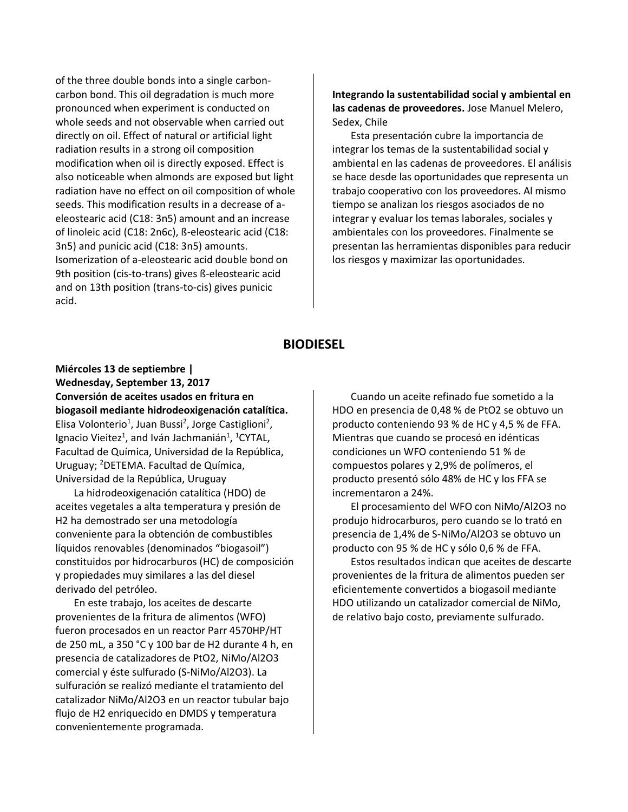of the three double bonds into a single carboncarbon bond. This oil degradation is much more pronounced when experiment is conducted on whole seeds and not observable when carried out directly on oil. Effect of natural or artificial light radiation results in a strong oil composition modification when oil is directly exposed. Effect is also noticeable when almonds are exposed but light radiation have no effect on oil composition of whole seeds. This modification results in a decrease of aeleostearic acid (C18: 3n5) amount and an increase of linoleic acid (C18: 2n6c), ß-eleostearic acid (C18: 3n5) and punicic acid (C18: 3n5) amounts. Isomerization of a-eleostearic acid double bond on 9th position (cis-to-trans) gives ß-eleostearic acid and on 13th position (trans-to-cis) gives punicic acid.

#### **Integrando la sustentabilidad social y ambiental en las cadenas de proveedores.** Jose Manuel Melero, Sedex, Chile

Esta presentación cubre la importancia de integrar los temas de la sustentabilidad social y ambiental en las cadenas de proveedores. El análisis se hace desde las oportunidades que representa un trabajo cooperativo con los proveedores. Al mismo tiempo se analizan los riesgos asociados de no integrar y evaluar los temas laborales, sociales y ambientales con los proveedores. Finalmente se presentan las herramientas disponibles para reducir los riesgos y maximizar las oportunidades.

### **BIODIESEL**

**Miércoles 13 de septiembre | Wednesday, September 13, 2017 Conversión de aceites usados en fritura en biogasoil mediante hidrodeoxigenación catalítica.**  Elisa Volonterio<sup>1</sup>, Juan Bussi<sup>2</sup>, Jorge Castiglioni<sup>2</sup>, Ignacio Vieitez<sup>1</sup>, and Iván Jachmanián<sup>1</sup>, <sup>1</sup>CYTAL, Facultad de Química, Universidad de la República, Uruguay; <sup>2</sup>DETEMA. Facultad de Química, Universidad de la República, Uruguay

La hidrodeoxigenación catalítica (HDO) de aceites vegetales a alta temperatura y presión de H2 ha demostrado ser una metodología conveniente para la obtención de combustibles líquidos renovables (denominados "biogasoil") constituidos por hidrocarburos (HC) de composición y propiedades muy similares a las del diesel derivado del petróleo.

En este trabajo, los aceites de descarte provenientes de la fritura de alimentos (WFO) fueron procesados en un reactor Parr 4570HP/HT de 250 mL, a 350 °C y 100 bar de H2 durante 4 h, en presencia de catalizadores de PtO2, NiMo/Al2O3 comercial y éste sulfurado (S-NiMo/Al2O3). La sulfuración se realizó mediante el tratamiento del catalizador NiMo/Al2O3 en un reactor tubular bajo flujo de H2 enriquecido en DMDS y temperatura convenientemente programada.

Cuando un aceite refinado fue sometido a la HDO en presencia de 0,48 % de PtO2 se obtuvo un producto conteniendo 93 % de HC y 4,5 % de FFA. Mientras que cuando se procesó en idénticas condiciones un WFO conteniendo 51 % de compuestos polares y 2,9% de polímeros, el producto presentó sólo 48% de HC y los FFA se incrementaron a 24%.

El procesamiento del WFO con NiMo/Al2O3 no produjo hidrocarburos, pero cuando se lo trató en presencia de 1,4% de S-NiMo/Al2O3 se obtuvo un producto con 95 % de HC y sólo 0,6 % de FFA.

Estos resultados indican que aceites de descarte provenientes de la fritura de alimentos pueden ser eficientemente convertidos a biogasoil mediante HDO utilizando un catalizador comercial de NiMo, de relativo bajo costo, previamente sulfurado.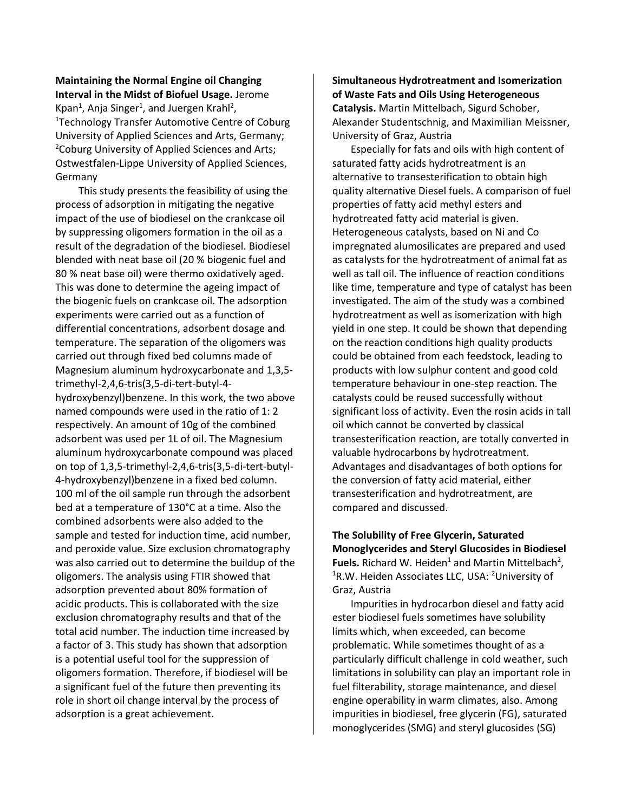**Maintaining the Normal Engine oil Changing Interval in the Midst of Biofuel Usage.** Jerome Kpan<sup>1</sup>, Anja Singer<sup>1</sup>, and Juergen Krahl<sup>2</sup>, <sup>1</sup>Technology Transfer Automotive Centre of Coburg University of Applied Sciences and Arts, Germany; <sup>2</sup>Coburg University of Applied Sciences and Arts; Ostwestfalen-Lippe University of Applied Sciences, Germany

This study presents the feasibility of using the process of adsorption in mitigating the negative impact of the use of biodiesel on the crankcase oil by suppressing oligomers formation in the oil as a result of the degradation of the biodiesel. Biodiesel blended with neat base oil (20 % biogenic fuel and 80 % neat base oil) were thermo oxidatively aged. This was done to determine the ageing impact of the biogenic fuels on crankcase oil. The adsorption experiments were carried out as a function of differential concentrations, adsorbent dosage and temperature. The separation of the oligomers was carried out through fixed bed columns made of Magnesium aluminum hydroxycarbonate and 1,3,5 trimethyl-2,4,6-tris(3,5-di-tert-butyl-4 hydroxybenzyl)benzene. In this work, the two above named compounds were used in the ratio of 1: 2 respectively. An amount of 10g of the combined adsorbent was used per 1L of oil. The Magnesium aluminum hydroxycarbonate compound was placed on top of 1,3,5-trimethyl-2,4,6-tris(3,5-di-tert-butyl-4-hydroxybenzyl)benzene in a fixed bed column. 100 ml of the oil sample run through the adsorbent bed at a temperature of 130°C at a time. Also the combined adsorbents were also added to the sample and tested for induction time, acid number, and peroxide value. Size exclusion chromatography was also carried out to determine the buildup of the oligomers. The analysis using FTIR showed that adsorption prevented about 80% formation of acidic products. This is collaborated with the size exclusion chromatography results and that of the total acid number. The induction time increased by a factor of 3. This study has shown that adsorption is a potential useful tool for the suppression of oligomers formation. Therefore, if biodiesel will be a significant fuel of the future then preventing its role in short oil change interval by the process of adsorption is a great achievement.

#### **Simultaneous Hydrotreatment and Isomerization of Waste Fats and Oils Using Heterogeneous Catalysis.** Martin Mittelbach, Sigurd Schober, Alexander Studentschnig, and Maximilian Meissner, University of Graz, Austria

Especially for fats and oils with high content of saturated fatty acids hydrotreatment is an alternative to transesterification to obtain high quality alternative Diesel fuels. A comparison of fuel properties of fatty acid methyl esters and hydrotreated fatty acid material is given. Heterogeneous catalysts, based on Ni and Co impregnated alumosilicates are prepared and used as catalysts for the hydrotreatment of animal fat as well as tall oil. The influence of reaction conditions like time, temperature and type of catalyst has been investigated. The aim of the study was a combined hydrotreatment as well as isomerization with high yield in one step. It could be shown that depending on the reaction conditions high quality products could be obtained from each feedstock, leading to products with low sulphur content and good cold temperature behaviour in one-step reaction. The catalysts could be reused successfully without significant loss of activity. Even the rosin acids in tall oil which cannot be converted by classical transesterification reaction, are totally converted in valuable hydrocarbons by hydrotreatment. Advantages and disadvantages of both options for the conversion of fatty acid material, either transesterification and hydrotreatment, are compared and discussed.

**The Solubility of Free Glycerin, Saturated Monoglycerides and Steryl Glucosides in Biodiesel Fuels.** Richard W. Heiden<sup>1</sup> and Martin Mittelbach<sup>2</sup>, <sup>1</sup>R.W. Heiden Associates LLC, USA: <sup>2</sup>University of Graz, Austria

Impurities in hydrocarbon diesel and fatty acid ester biodiesel fuels sometimes have solubility limits which, when exceeded, can become problematic. While sometimes thought of as a particularly difficult challenge in cold weather, such limitations in solubility can play an important role in fuel filterability, storage maintenance, and diesel engine operability in warm climates, also. Among impurities in biodiesel, free glycerin (FG), saturated monoglycerides (SMG) and steryl glucosides (SG)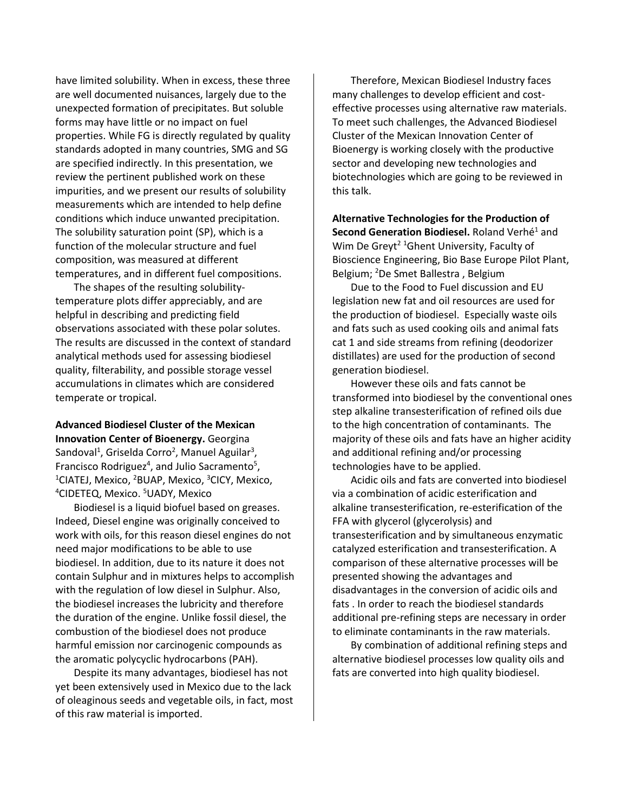have limited solubility. When in excess, these three are well documented nuisances, largely due to the unexpected formation of precipitates. But soluble forms may have little or no impact on fuel properties. While FG is directly regulated by quality standards adopted in many countries, SMG and SG are specified indirectly. In this presentation, we review the pertinent published work on these impurities, and we present our results of solubility measurements which are intended to help define conditions which induce unwanted precipitation. The solubility saturation point (SP), which is a function of the molecular structure and fuel composition, was measured at different temperatures, and in different fuel compositions.

The shapes of the resulting solubilitytemperature plots differ appreciably, and are helpful in describing and predicting field observations associated with these polar solutes. The results are discussed in the context of standard analytical methods used for assessing biodiesel quality, filterability, and possible storage vessel accumulations in climates which are considered temperate or tropical.

**Advanced Biodiesel Cluster of the Mexican Innovation Center of Bioenergy.** Georgina Sandoval<sup>1</sup>, Griselda Corro<sup>2</sup>, Manuel Aguilar<sup>3</sup>, Francisco Rodriguez<sup>4</sup>, and Julio Sacramento<sup>5</sup>, <sup>1</sup>CIATEJ, Mexico, <sup>2</sup>BUAP, Mexico, <sup>3</sup>CICY, Mexico, <sup>4</sup>CIDETEQ, Mexico. <sup>5</sup>UADY, Mexico

Biodiesel is a liquid biofuel based on greases. Indeed, Diesel engine was originally conceived to work with oils, for this reason diesel engines do not need major modifications to be able to use biodiesel. In addition, due to its nature it does not contain Sulphur and in mixtures helps to accomplish with the regulation of low diesel in Sulphur. Also, the biodiesel increases the lubricity and therefore the duration of the engine. Unlike fossil diesel, the combustion of the biodiesel does not produce harmful emission nor carcinogenic compounds as the aromatic polycyclic hydrocarbons (PAH).

Despite its many advantages, biodiesel has not yet been extensively used in Mexico due to the lack of oleaginous seeds and vegetable oils, in fact, most of this raw material is imported.

Therefore, Mexican Biodiesel Industry faces many challenges to develop efficient and costeffective processes using alternative raw materials. To meet such challenges, the Advanced Biodiesel Cluster of the Mexican Innovation Center of Bioenergy is working closely with the productive sector and developing new technologies and biotechnologies which are going to be reviewed in this talk.

**Alternative Technologies for the Production of Second Generation Biodiesel.** Roland Verhé<sup>1</sup> and Wim De Greyt<sup>2 1</sup>Ghent University, Faculty of Bioscience Engineering, Bio Base Europe Pilot Plant, Belgium; <sup>2</sup>De Smet Ballestra , Belgium

Due to the Food to Fuel discussion and EU legislation new fat and oil resources are used for the production of biodiesel. Especially waste oils and fats such as used cooking oils and animal fats cat 1 and side streams from refining (deodorizer distillates) are used for the production of second generation biodiesel.

However these oils and fats cannot be transformed into biodiesel by the conventional ones step alkaline transesterification of refined oils due to the high concentration of contaminants. The majority of these oils and fats have an higher acidity and additional refining and/or processing technologies have to be applied.

Acidic oils and fats are converted into biodiesel via a combination of acidic esterification and alkaline transesterification, re-esterification of the FFA with glycerol (glycerolysis) and transesterification and by simultaneous enzymatic catalyzed esterification and transesterification. A comparison of these alternative processes will be presented showing the advantages and disadvantages in the conversion of acidic oils and fats . In order to reach the biodiesel standards additional pre-refining steps are necessary in order to eliminate contaminants in the raw materials.

By combination of additional refining steps and alternative biodiesel processes low quality oils and fats are converted into high quality biodiesel.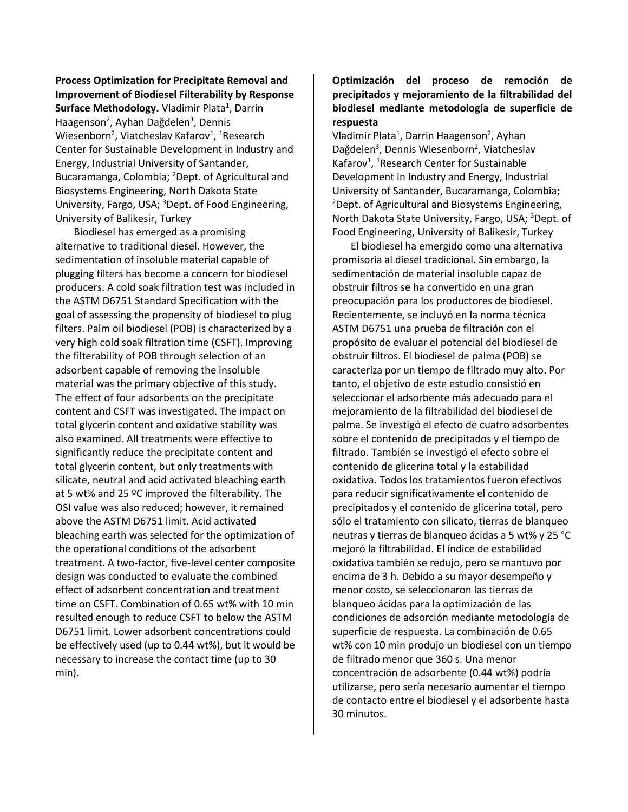**Process Optimization for Precipitate Removal and Improvement of Biodiesel Filterability by Response Surface Methodology.** Vladimir Plata<sup>1</sup>, Darrin Haagenson<sup>2</sup>, Ayhan Dağdelen<sup>3</sup>, Dennis Wiesenborn<sup>2</sup>, Viatcheslav Kafarov<sup>1</sup>, <sup>1</sup>Research Center for Sustainable Development in Industry and Energy, Industrial University of Santander, Bucaramanga, Colombia; <sup>2</sup>Dept. of Agricultural and Biosystems Engineering, North Dakota State University, Fargo, USA; <sup>3</sup>Dept. of Food Engineering, University of Balikesir, Turkey

Biodiesel has emerged as a promising alternative to traditional diesel. However, the sedimentation of insoluble material capable of plugging filters has become a concern for biodiesel producers. A cold soak filtration test was included in the ASTM D6751 Standard Specification with the goal of assessing the propensity of biodiesel to plug filters. Palm oil biodiesel (POB) is characterized by a very high cold soak filtration time (CSFT). Improving the filterability of POB through selection of an adsorbent capable of removing the insoluble material was the primary objective of this study. The effect of four adsorbents on the precipitate content and CSFT was investigated. The impact on total glycerin content and oxidative stability was also examined. All treatments were effective to significantly reduce the precipitate content and total glycerin content, but only treatments with silicate, neutral and acid activated bleaching earth at 5 wt% and 25 ºC improved the filterability. The OSI value was also reduced; however, it remained above the ASTM D6751 limit. Acid activated bleaching earth was selected for the optimization of the operational conditions of the adsorbent treatment. A two-factor, five-level center composite design was conducted to evaluate the combined effect of adsorbent concentration and treatment time on CSFT. Combination of 0.65 wt% with 10 min resulted enough to reduce CSFT to below the ASTM D6751 limit. Lower adsorbent concentrations could be effectively used (up to 0.44 wt%), but it would be necessary to increase the contact time (up to 30 min).

#### **Optimización del proceso de remoción de precipitados y mejoramiento de la filtrabilidad del biodiesel mediante metodología de superficie de respuesta**

Vladimir Plata<sup>1</sup>, Darrin Haagenson<sup>2</sup>, Ayhan Dağdelen<sup>3</sup>, Dennis Wiesenborn<sup>2</sup>, Viatcheslav Kafarov<sup>1</sup>, <sup>1</sup>Research Center for Sustainable Development in Industry and Energy, Industrial University of Santander, Bucaramanga, Colombia; <sup>2</sup>Dept. of Agricultural and Biosystems Engineering, North Dakota State University, Fargo, USA; <sup>3</sup>Dept. of Food Engineering, University of Balikesir, Turkey

El biodiesel ha emergido como una alternativa promisoria al diesel tradicional. Sin embargo, la sedimentación de material insoluble capaz de obstruir filtros se ha convertido en una gran preocupación para los productores de biodiesel. Recientemente, se incluyó en la norma técnica ASTM D6751 una prueba de filtración con el propósito de evaluar el potencial del biodiesel de obstruir filtros. El biodiesel de palma (POB) se caracteriza por un tiempo de filtrado muy alto. Por tanto, el objetivo de este estudio consistió en seleccionar el adsorbente más adecuado para el mejoramiento de la filtrabilidad del biodiesel de palma. Se investigó el efecto de cuatro adsorbentes sobre el contenido de precipitados y el tiempo de filtrado. También se investigó el efecto sobre el contenido de glicerina total y la estabilidad oxidativa. Todos los tratamientos fueron efectivos para reducir significativamente el contenido de precipitados y el contenido de glicerina total, pero sólo el tratamiento con silicato, tierras de blanqueo neutras y tierras de blanqueo ácidas a 5 wt% y 25 °C mejoró la filtrabilidad. El índice de estabilidad oxidativa también se redujo, pero se mantuvo por encima de 3 h. Debido a su mayor desempeño y menor costo, se seleccionaron las tierras de blanqueo ácidas para la optimización de las condiciones de adsorción mediante metodología de superficie de respuesta. La combinación de 0.65 wt% con 10 min produjo un biodiesel con un tiempo de filtrado menor que 360 s. Una menor concentración de adsorbente (0.44 wt%) podría utilizarse, pero sería necesario aumentar el tiempo de contacto entre el biodiesel y el adsorbente hasta 30 minutos.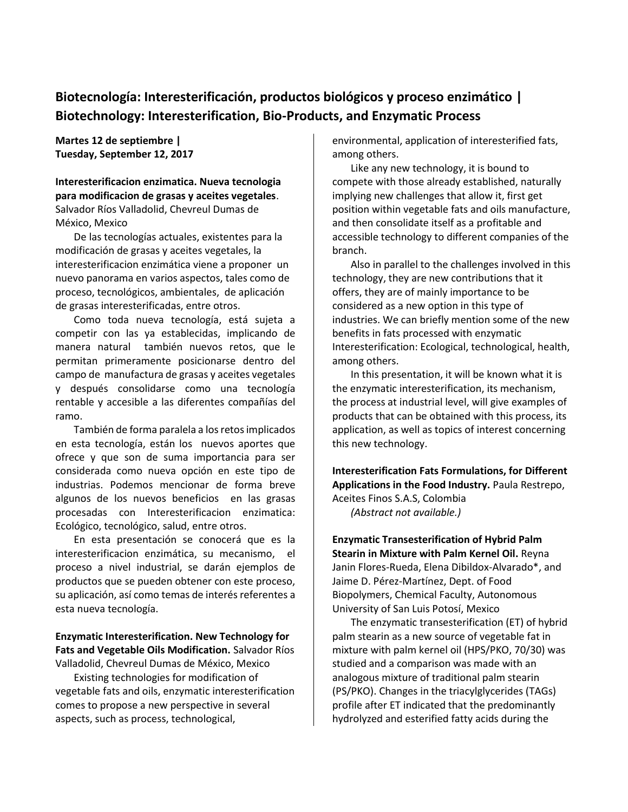## **Biotecnología: Interesterificación, productos biológicos y proceso enzimático | Biotechnology: Interesterification, Bio-Products, and Enzymatic Process**

**Martes 12 de septiembre | Tuesday, September 12, 2017**

**Interesterificacion enzimatica. Nueva tecnologia para modificacion de grasas y aceites vegetales**. Salvador Ríos Valladolid, Chevreul Dumas de México, Mexico

De las tecnologías actuales, existentes para la modificación de grasas y aceites vegetales, la interesterificacion enzimática viene a proponer un nuevo panorama en varios aspectos, tales como de proceso, tecnológicos, ambientales, de aplicación de grasas interesterificadas, entre otros.

Como toda nueva tecnología, está sujeta a competir con las ya establecidas, implicando de manera natural también nuevos retos, que le permitan primeramente posicionarse dentro del campo de manufactura de grasas y aceites vegetales y después consolidarse como una tecnología rentable y accesible a las diferentes compañías del ramo.

También de forma paralela a los retos implicados en esta tecnología, están los nuevos aportes que ofrece y que son de suma importancia para ser considerada como nueva opción en este tipo de industrias. Podemos mencionar de forma breve algunos de los nuevos beneficios en las grasas procesadas con Interesterificacion enzimatica: Ecológico, tecnológico, salud, entre otros.

En esta presentación se conocerá que es la interesterificacion enzimática, su mecanismo, el proceso a nivel industrial, se darán ejemplos de productos que se pueden obtener con este proceso, su aplicación, así como temas de interés referentes a esta nueva tecnología.

**Enzymatic Interesterification. New Technology for Fats and Vegetable Oils Modification.** Salvador Ríos Valladolid, Chevreul Dumas de México, Mexico

Existing technologies for modification of vegetable fats and oils, enzymatic interesterification comes to propose a new perspective in several aspects, such as process, technological,

environmental, application of interesterified fats, among others.

Like any new technology, it is bound to compete with those already established, naturally implying new challenges that allow it, first get position within vegetable fats and oils manufacture, and then consolidate itself as a profitable and accessible technology to different companies of the branch.

Also in parallel to the challenges involved in this technology, they are new contributions that it offers, they are of mainly importance to be considered as a new option in this type of industries. We can briefly mention some of the new benefits in fats processed with enzymatic Interesterification: Ecological, technological, health, among others.

In this presentation, it will be known what it is the enzymatic interesterification, its mechanism, the process at industrial level, will give examples of products that can be obtained with this process, its application, as well as topics of interest concerning this new technology.

**Interesterification Fats Formulations, for Different Applications in the Food Industry.** Paula Restrepo, Aceites Finos S.A.S, Colombia *(Abstract not available.)*

**Enzymatic Transesterification of Hybrid Palm Stearin in Mixture with Palm Kernel Oil.** Reyna Janin Flores-Rueda, Elena Dibildox-Alvarado\*, and Jaime D. Pérez-Martínez, Dept. of Food Biopolymers, Chemical Faculty, Autonomous University of San Luis Potosí, Mexico

The enzymatic transesterification (ET) of hybrid palm stearin as a new source of vegetable fat in mixture with palm kernel oil (HPS/PKO, 70/30) was studied and a comparison was made with an analogous mixture of traditional palm stearin (PS/PKO). Changes in the triacylglycerides (TAGs) profile after ET indicated that the predominantly hydrolyzed and esterified fatty acids during the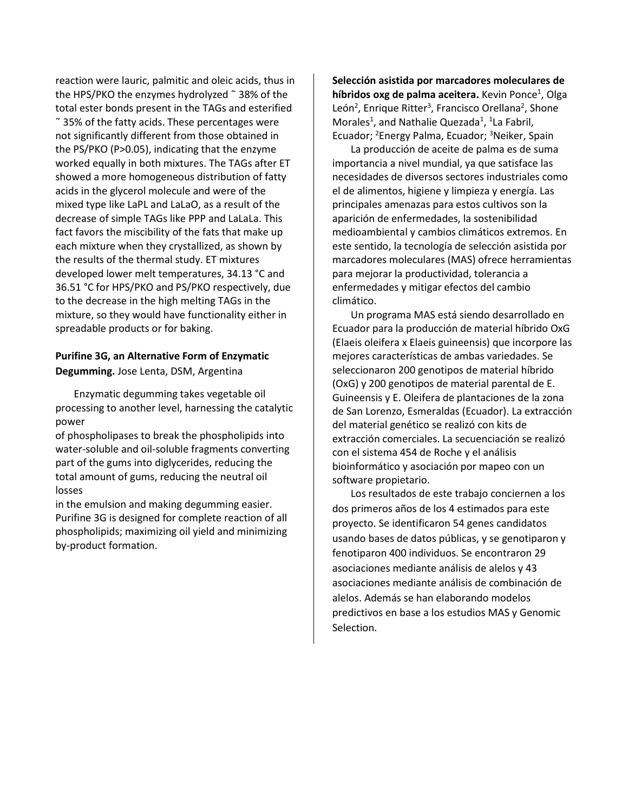reaction were lauric, palmitic and oleic acids, thus in the HPS/PKO the enzymes hydrolyzed ˜ 38% of the total ester bonds present in the TAGs and esterified ˜ 35% of the fatty acids. These percentages were not significantly different from those obtained in the PS/PKO (P>0.05), indicating that the enzyme worked equally in both mixtures. The TAGs after ET showed a more homogeneous distribution of fatty acids in the glycerol molecule and were of the mixed type like LaPL and LaLaO, as a result of the decrease of simple TAGs like PPP and LaLaLa. This fact favors the miscibility of the fats that make up each mixture when they crystallized, as shown by the results of the thermal study. ET mixtures developed lower melt temperatures, 34.13 °C and 36.51 °C for HPS/PKO and PS/PKO respectively, due to the decrease in the high melting TAGs in the mixture, so they would have functionality either in spreadable products or for baking.

#### **Purifine 3G, an Alternative Form of Enzymatic Degumming.** Jose Lenta, DSM, Argentina

Enzymatic degumming takes vegetable oil processing to another level, harnessing the catalytic power

of phospholipases to break the phospholipids into water-soluble and oil-soluble fragments converting part of the gums into diglycerides, reducing the total amount of gums, reducing the neutral oil losses

in the emulsion and making degumming easier. Purifine 3G is designed for complete reaction of all phospholipids; maximizing oil yield and minimizing by-product formation.

**Selección asistida por marcadores moleculares de híbridos oxg de palma aceitera.** Kevin Ponce<sup>1</sup>, Olga León<sup>2</sup>, Enrique Ritter<sup>3</sup>, Francisco Orellana<sup>2</sup>, Shone Morales<sup>1</sup>, and Nathalie Quezada<sup>1</sup>, <sup>1</sup>La Fabril, Ecuador; <sup>2</sup>Energy Palma, Ecuador; <sup>3</sup>Neiker, Spain

La producción de aceite de palma es de suma importancia a nivel mundial, ya que satisface las necesidades de diversos sectores industriales como el de alimentos, higiene y limpieza y energía. Las principales amenazas para estos cultivos son la aparición de enfermedades, la sostenibilidad medioambiental y cambios climáticos extremos. En este sentido, la tecnología de selección asistida por marcadores moleculares (MAS) ofrece herramientas para mejorar la productividad, tolerancia a enfermedades y mitigar efectos del cambio climático.

Un programa MAS está siendo desarrollado en Ecuador para la producción de material híbrido OxG (Elaeis oleifera x Elaeis guineensis) que incorpore las mejores características de ambas variedades. Se seleccionaron 200 genotipos de material híbrido (OxG) y 200 genotipos de material parental de E. Guineensis y E. Oleifera de plantaciones de la zona de San Lorenzo, Esmeraldas (Ecuador). La extracción del material genético se realizó con kits de extracción comerciales. La secuenciación se realizó con el sistema 454 de Roche y el análisis bioinformático y asociación por mapeo con un software propietario.

Los resultados de este trabajo conciernen a los dos primeros años de los 4 estimados para este proyecto. Se identificaron 54 genes candidatos usando bases de datos públicas, y se genotiparon y fenotiparon 400 individuos. Se encontraron 29 asociaciones mediante análisis de alelos y 43 asociaciones mediante análisis de combinación de alelos. Además se han elaborando modelos predictivos en base a los estudios MAS y Genomic Selection.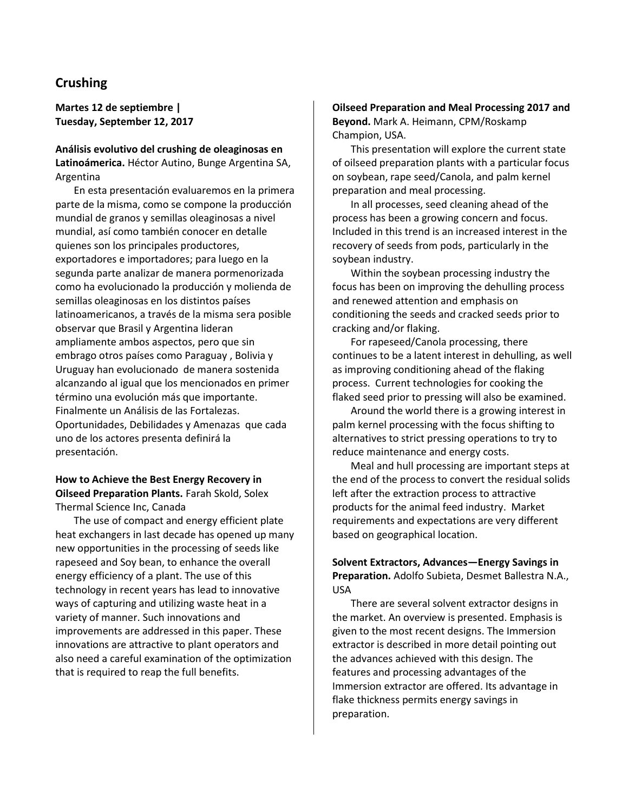### **Crushing**

**Martes 12 de septiembre | Tuesday, September 12, 2017**

#### **Análisis evolutivo del crushing de oleaginosas en Latinoámerica.** Héctor Autino, Bunge Argentina SA, Argentina

En esta presentación evaluaremos en la primera parte de la misma, como se compone la producción mundial de granos y semillas oleaginosas a nivel mundial, así como también conocer en detalle quienes son los principales productores, exportadores e importadores; para luego en la segunda parte analizar de manera pormenorizada como ha evolucionado la producción y molienda de semillas oleaginosas en los distintos países latinoamericanos, a través de la misma sera posible observar que Brasil y Argentina lideran ampliamente ambos aspectos, pero que sin embrago otros países como Paraguay , Bolivia y Uruguay han evolucionado de manera sostenida alcanzando al igual que los mencionados en primer término una evolución más que importante. Finalmente un Análisis de las Fortalezas. Oportunidades, Debilidades y Amenazas que cada uno de los actores presenta definirá la presentación.

#### **How to Achieve the Best Energy Recovery in Oilseed Preparation Plants.** Farah Skold, Solex Thermal Science Inc, Canada

The use of compact and energy efficient plate heat exchangers in last decade has opened up many new opportunities in the processing of seeds like rapeseed and Soy bean, to enhance the overall energy efficiency of a plant. The use of this technology in recent years has lead to innovative ways of capturing and utilizing waste heat in a variety of manner. Such innovations and improvements are addressed in this paper. These innovations are attractive to plant operators and also need a careful examination of the optimization that is required to reap the full benefits.

### **Oilseed Preparation and Meal Processing 2017 and Beyond.** Mark A. Heimann, CPM/Roskamp Champion, USA.

This presentation will explore the current state of oilseed preparation plants with a particular focus on soybean, rape seed/Canola, and palm kernel preparation and meal processing.

In all processes, seed cleaning ahead of the process has been a growing concern and focus. Included in this trend is an increased interest in the recovery of seeds from pods, particularly in the soybean industry.

 Within the soybean processing industry the focus has been on improving the dehulling process and renewed attention and emphasis on conditioning the seeds and cracked seeds prior to cracking and/or flaking.

For rapeseed/Canola processing, there continues to be a latent interest in dehulling, as well as improving conditioning ahead of the flaking process. Current technologies for cooking the flaked seed prior to pressing will also be examined.

Around the world there is a growing interest in palm kernel processing with the focus shifting to alternatives to strict pressing operations to try to reduce maintenance and energy costs.

 Meal and hull processing are important steps at the end of the process to convert the residual solids left after the extraction process to attractive products for the animal feed industry. Market requirements and expectations are very different based on geographical location.

### **Solvent Extractors, Advances—Energy Savings in Preparation.** Adolfo Subieta, Desmet Ballestra N.A., USA

There are several solvent extractor designs in the market. An overview is presented. Emphasis is given to the most recent designs. The Immersion extractor is described in more detail pointing out the advances achieved with this design. The features and processing advantages of the Immersion extractor are offered. Its advantage in flake thickness permits energy savings in preparation.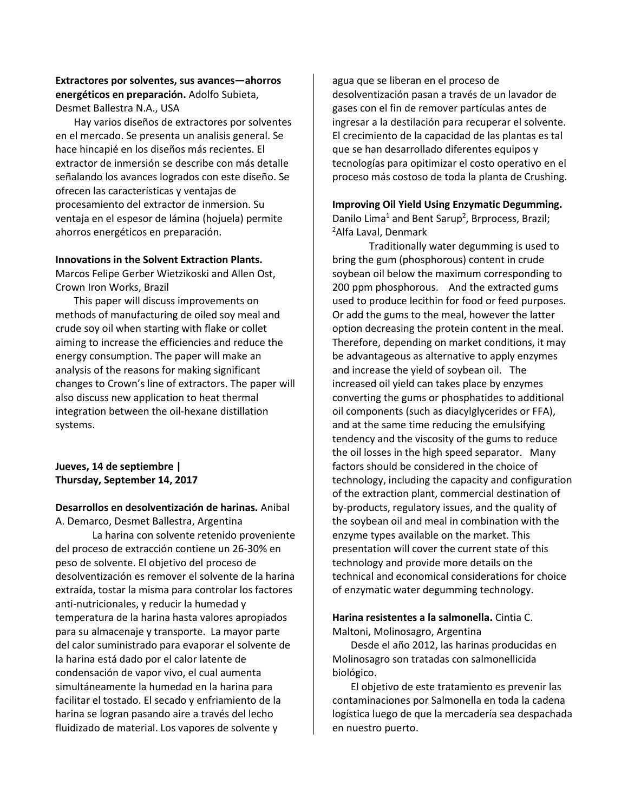#### **Extractores por solventes, sus avances—ahorros energéticos en preparación.** Adolfo Subieta, Desmet Ballestra N.A., USA

Hay varios diseños de extractores por solventes en el mercado. Se presenta un analisis general. Se hace hincapié en los diseños más recientes. El extractor de inmersión se describe con más detalle señalando los avances logrados con este diseño. Se ofrecen las características y ventajas de procesamiento del extractor de inmersion. Su ventaja en el espesor de lámina (hojuela) permite ahorros energéticos en preparación.

#### **Innovations in the Solvent Extraction Plants.**

Marcos Felipe Gerber Wietzikoski and Allen Ost, Crown Iron Works, Brazil

This paper will discuss improvements on methods of manufacturing de oiled soy meal and crude soy oil when starting with flake or collet aiming to increase the efficiencies and reduce the energy consumption. The paper will make an analysis of the reasons for making significant changes to Crown's line of extractors. The paper will also discuss new application to heat thermal integration between the oil-hexane distillation systems.

#### **Jueves, 14 de septiembre | Thursday, September 14, 2017**

#### **Desarrollos en desolventización de harinas.** Anibal A. Demarco, Desmet Ballestra, Argentina

La harina con solvente retenido proveniente del proceso de extracción contiene un 26-30% en peso de solvente. El objetivo del proceso de desolventización es remover el solvente de la harina extraída, tostar la misma para controlar los factores anti-nutricionales, y reducir la humedad y temperatura de la harina hasta valores apropiados para su almacenaje y transporte. La mayor parte del calor suministrado para evaporar el solvente de la harina está dado por el calor latente de condensación de vapor vivo, el cual aumenta simultáneamente la humedad en la harina para facilitar el tostado. El secado y enfriamiento de la harina se logran pasando aire a través del lecho fluidizado de material. Los vapores de solvente y

agua que se liberan en el proceso de desolventización pasan a través de un lavador de gases con el fin de remover partículas antes de ingresar a la destilación para recuperar el solvente. El crecimiento de la capacidad de las plantas es tal que se han desarrollado diferentes equipos y tecnologías para opitimizar el costo operativo en el proceso más costoso de toda la planta de Crushing.

### **Improving Oil Yield Using Enzymatic Degumming.**  Danilo Lima<sup>1</sup> and Bent Sarup<sup>2</sup>, Brprocess, Brazil; <sup>2</sup>Alfa Laval, Denmark

Traditionally water degumming is used to bring the gum (phosphorous) content in crude soybean oil below the maximum corresponding to 200 ppm phosphorous. And the extracted gums used to produce lecithin for food or feed purposes. Or add the gums to the meal, however the latter option decreasing the protein content in the meal. Therefore, depending on market conditions, it may be advantageous as alternative to apply enzymes and increase the yield of soybean oil. The increased oil yield can takes place by enzymes converting the gums or phosphatides to additional oil components (such as diacylglycerides or FFA), and at the same time reducing the emulsifying tendency and the viscosity of the gums to reduce the oil losses in the high speed separator. Many factors should be considered in the choice of technology, including the capacity and configuration of the extraction plant, commercial destination of by-products, regulatory issues, and the quality of the soybean oil and meal in combination with the enzyme types available on the market. This presentation will cover the current state of this technology and provide more details on the technical and economical considerations for choice of enzymatic water degumming technology.

#### **Harina resistentes a la salmonella.** Cintia C. Maltoni, Molinosagro, Argentina

Desde el año 2012, las harinas producidas en Molinosagro son tratadas con salmonellicida biológico.

El objetivo de este tratamiento es prevenir las contaminaciones por Salmonella en toda la cadena logística luego de que la mercadería sea despachada en nuestro puerto.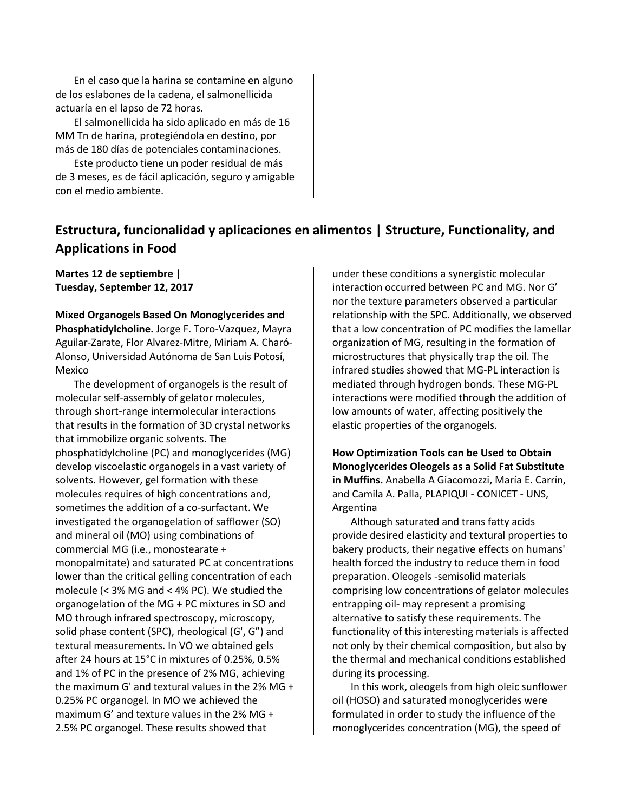En el caso que la harina se contamine en alguno de los eslabones de la cadena, el salmonellicida actuaría en el lapso de 72 horas.

El salmonellicida ha sido aplicado en más de 16 MM Tn de harina, protegiéndola en destino, por más de 180 días de potenciales contaminaciones.

Este producto tiene un poder residual de más de 3 meses, es de fácil aplicación, seguro y amigable con el medio ambiente.

## **Estructura, funcionalidad y aplicaciones en alimentos | Structure, Functionality, and Applications in Food**

**Martes 12 de septiembre | Tuesday, September 12, 2017**

#### **Mixed Organogels Based On Monoglycerides and**

**Phosphatidylcholine.** Jorge F. Toro-Vazquez, Mayra Aguilar-Zarate, Flor Alvarez-Mitre, Miriam A. Charó-Alonso, Universidad Autónoma de San Luis Potosí, Mexico

The development of organogels is the result of molecular self-assembly of gelator molecules, through short-range intermolecular interactions that results in the formation of 3D crystal networks that immobilize organic solvents. The phosphatidylcholine (PC) and monoglycerides (MG) develop viscoelastic organogels in a vast variety of solvents. However, gel formation with these molecules requires of high concentrations and, sometimes the addition of a co-surfactant. We investigated the organogelation of safflower (SO) and mineral oil (MO) using combinations of commercial MG (i.e., monostearate + monopalmitate) and saturated PC at concentrations lower than the critical gelling concentration of each molecule (< 3% MG and < 4% PC). We studied the organogelation of the MG + PC mixtures in SO and MO through infrared spectroscopy, microscopy, solid phase content (SPC), rheological (G', G") and textural measurements. In VO we obtained gels after 24 hours at 15°C in mixtures of 0.25%, 0.5% and 1% of PC in the presence of 2% MG, achieving the maximum G' and textural values in the 2% MG + 0.25% PC organogel. In MO we achieved the maximum G' and texture values in the 2% MG + 2.5% PC organogel. These results showed that

under these conditions a synergistic molecular interaction occurred between PC and MG. Nor G' nor the texture parameters observed a particular relationship with the SPC. Additionally, we observed that a low concentration of PC modifies the lamellar organization of MG, resulting in the formation of microstructures that physically trap the oil. The infrared studies showed that MG-PL interaction is mediated through hydrogen bonds. These MG-PL interactions were modified through the addition of low amounts of water, affecting positively the elastic properties of the organogels.

**How Optimization Tools can be Used to Obtain Monoglycerides Oleogels as a Solid Fat Substitute in Muffins.** Anabella A Giacomozzi, María E. Carrín, and Camila A. Palla, PLAPIQUI - CONICET - UNS, Argentina

Although saturated and trans fatty acids provide desired elasticity and textural properties to bakery products, their negative effects on humans' health forced the industry to reduce them in food preparation. Oleogels -semisolid materials comprising low concentrations of gelator molecules entrapping oil- may represent a promising alternative to satisfy these requirements. The functionality of this interesting materials is affected not only by their chemical composition, but also by the thermal and mechanical conditions established during its processing.

In this work, oleogels from high oleic sunflower oil (HOSO) and saturated monoglycerides were formulated in order to study the influence of the monoglycerides concentration (MG), the speed of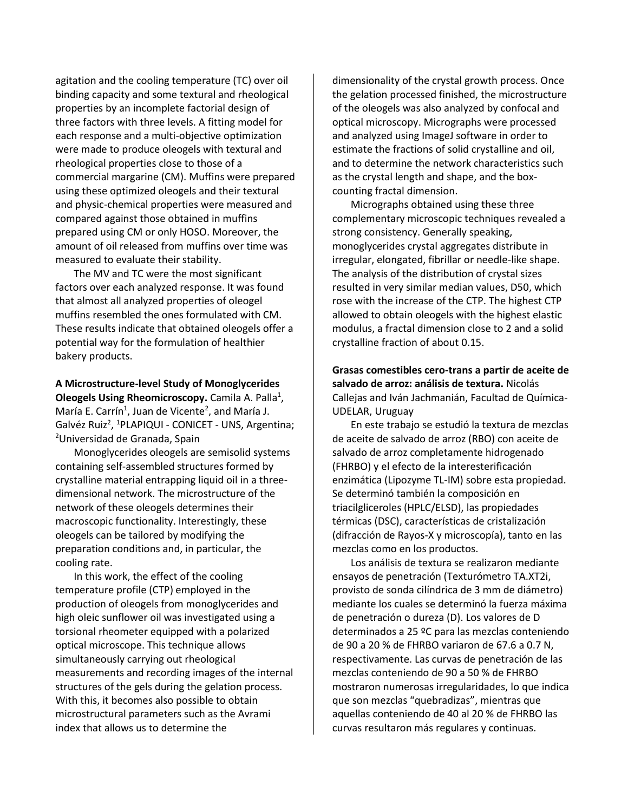agitation and the cooling temperature (TC) over oil binding capacity and some textural and rheological properties by an incomplete factorial design of three factors with three levels. A fitting model for each response and a multi-objective optimization were made to produce oleogels with textural and rheological properties close to those of a commercial margarine (CM). Muffins were prepared using these optimized oleogels and their textural and physic-chemical properties were measured and compared against those obtained in muffins prepared using CM or only HOSO. Moreover, the amount of oil released from muffins over time was measured to evaluate their stability.

The MV and TC were the most significant factors over each analyzed response. It was found that almost all analyzed properties of oleogel muffins resembled the ones formulated with CM. These results indicate that obtained oleogels offer a potential way for the formulation of healthier bakery products.

#### **A Microstructure-level Study of Monoglycerides**

Oleogels Using Rheomicroscopy. Camila A. Palla<sup>1</sup>, María E. Carrín<sup>1</sup>, Juan de Vicente<sup>2</sup>, and María J. Galvéz Ruiz<sup>2</sup>, <sup>1</sup>PLAPIQUI - CONICET - UNS, Argentina; <sup>2</sup>Universidad de Granada, Spain

Monoglycerides oleogels are semisolid systems containing self-assembled structures formed by crystalline material entrapping liquid oil in a threedimensional network. The microstructure of the network of these oleogels determines their macroscopic functionality. Interestingly, these oleogels can be tailored by modifying the preparation conditions and, in particular, the cooling rate.

In this work, the effect of the cooling temperature profile (CTP) employed in the production of oleogels from monoglycerides and high oleic sunflower oil was investigated using a torsional rheometer equipped with a polarized optical microscope. This technique allows simultaneously carrying out rheological measurements and recording images of the internal structures of the gels during the gelation process. With this, it becomes also possible to obtain microstructural parameters such as the Avrami index that allows us to determine the

dimensionality of the crystal growth process. Once the gelation processed finished, the microstructure of the oleogels was also analyzed by confocal and optical microscopy. Micrographs were processed and analyzed using ImageJ software in order to estimate the fractions of solid crystalline and oil, and to determine the network characteristics such as the crystal length and shape, and the boxcounting fractal dimension.

Micrographs obtained using these three complementary microscopic techniques revealed a strong consistency. Generally speaking, monoglycerides crystal aggregates distribute in irregular, elongated, fibrillar or needle-like shape. The analysis of the distribution of crystal sizes resulted in very similar median values, D50, which rose with the increase of the CTP. The highest CTP allowed to obtain oleogels with the highest elastic modulus, a fractal dimension close to 2 and a solid crystalline fraction of about 0.15.

#### **Grasas comestibles cero-trans a partir de aceite de salvado de arroz: análisis de textura.** Nicolás Callejas and Iván Jachmanián, Facultad de Química-UDELAR, Uruguay

En este trabajo se estudió la textura de mezclas de aceite de salvado de arroz (RBO) con aceite de salvado de arroz completamente hidrogenado (FHRBO) y el efecto de la interesterificación enzimática (Lipozyme TL-IM) sobre esta propiedad. Se determinó también la composición en triacilgliceroles (HPLC/ELSD), las propiedades térmicas (DSC), características de cristalización (difracción de Rayos-X y microscopía), tanto en las mezclas como en los productos.

Los análisis de textura se realizaron mediante ensayos de penetración (Texturómetro TA.XT2i, provisto de sonda cilíndrica de 3 mm de diámetro) mediante los cuales se determinó la fuerza máxima de penetración o dureza (D). Los valores de D determinados a 25 ºC para las mezclas conteniendo de 90 a 20 % de FHRBO variaron de 67.6 a 0.7 N, respectivamente. Las curvas de penetración de las mezclas conteniendo de 90 a 50 % de FHRBO mostraron numerosas irregularidades, lo que indica que son mezclas "quebradizas", mientras que aquellas conteniendo de 40 al 20 % de FHRBO las curvas resultaron más regulares y continuas.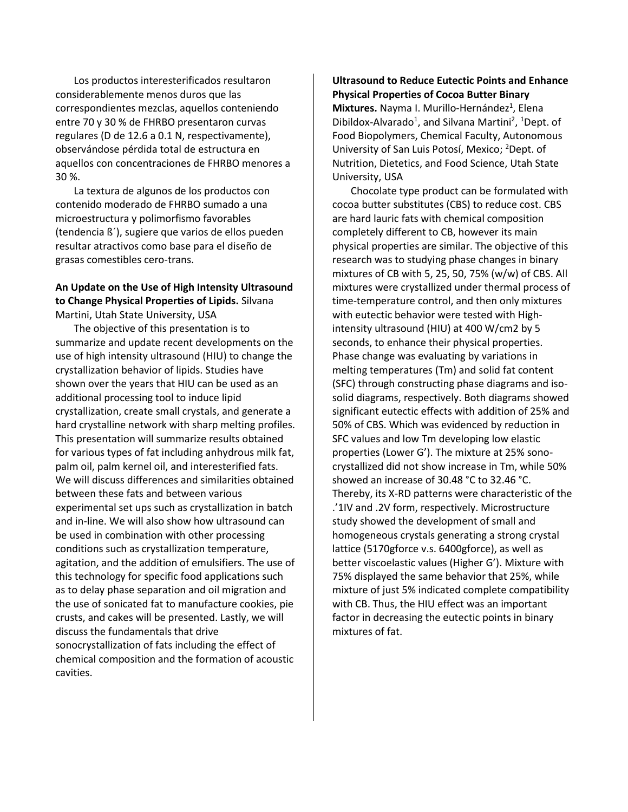Los productos interesterificados resultaron considerablemente menos duros que las correspondientes mezclas, aquellos conteniendo entre 70 y 30 % de FHRBO presentaron curvas regulares (D de 12.6 a 0.1 N, respectivamente), observándose pérdida total de estructura en aquellos con concentraciones de FHRBO menores a 30 %.

La textura de algunos de los productos con contenido moderado de FHRBO sumado a una microestructura y polimorfismo favorables (tendencia ß´), sugiere que varios de ellos pueden resultar atractivos como base para el diseño de grasas comestibles cero-trans.

#### **An Update on the Use of High Intensity Ultrasound to Change Physical Properties of Lipids.** Silvana Martini, Utah State University, USA

The objective of this presentation is to summarize and update recent developments on the use of high intensity ultrasound (HIU) to change the crystallization behavior of lipids. Studies have shown over the years that HIU can be used as an additional processing tool to induce lipid crystallization, create small crystals, and generate a hard crystalline network with sharp melting profiles. This presentation will summarize results obtained for various types of fat including anhydrous milk fat, palm oil, palm kernel oil, and interesterified fats. We will discuss differences and similarities obtained between these fats and between various experimental set ups such as crystallization in batch and in-line. We will also show how ultrasound can be used in combination with other processing conditions such as crystallization temperature, agitation, and the addition of emulsifiers. The use of this technology for specific food applications such as to delay phase separation and oil migration and the use of sonicated fat to manufacture cookies, pie crusts, and cakes will be presented. Lastly, we will discuss the fundamentals that drive sonocrystallization of fats including the effect of chemical composition and the formation of acoustic cavities.

**Ultrasound to Reduce Eutectic Points and Enhance Physical Properties of Cocoa Butter Binary Mixtures.** Nayma I. Murillo-Hernández<sup>1</sup>, Elena Dibildox-Alvarado<sup>1</sup>, and Silvana Martini<sup>2</sup>, <sup>1</sup>Dept. of Food Biopolymers, Chemical Faculty, Autonomous University of San Luis Potosí, Mexico; <sup>2</sup>Dept. of Nutrition, Dietetics, and Food Science, Utah State University, USA

Chocolate type product can be formulated with cocoa butter substitutes (CBS) to reduce cost. CBS are hard lauric fats with chemical composition completely different to CB, however its main physical properties are similar. The objective of this research was to studying phase changes in binary mixtures of CB with 5, 25, 50, 75% (w/w) of CBS. All mixtures were crystallized under thermal process of time-temperature control, and then only mixtures with eutectic behavior were tested with Highintensity ultrasound (HIU) at 400 W/cm2 by 5 seconds, to enhance their physical properties. Phase change was evaluating by variations in melting temperatures (Tm) and solid fat content (SFC) through constructing phase diagrams and isosolid diagrams, respectively. Both diagrams showed significant eutectic effects with addition of 25% and 50% of CBS. Which was evidenced by reduction in SFC values and low Tm developing low elastic properties (Lower G'). The mixture at 25% sonocrystallized did not show increase in Tm, while 50% showed an increase of 30.48 °C to 32.46 °C. Thereby, its X-RD patterns were characteristic of the .'1IV and .2V form, respectively. Microstructure study showed the development of small and homogeneous crystals generating a strong crystal lattice (5170gforce v.s. 6400gforce), as well as better viscoelastic values (Higher G'). Mixture with 75% displayed the same behavior that 25%, while mixture of just 5% indicated complete compatibility with CB. Thus, the HIU effect was an important factor in decreasing the eutectic points in binary mixtures of fat.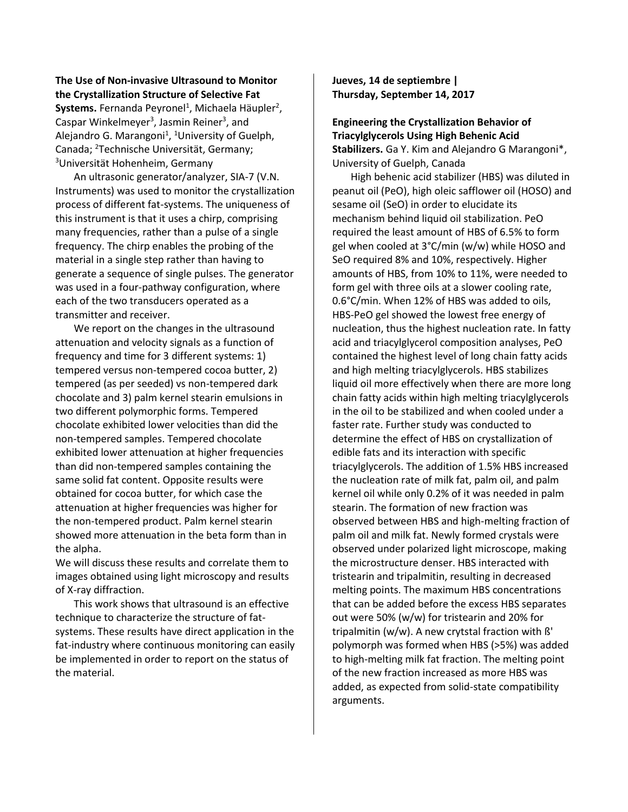**The Use of Non-invasive Ultrasound to Monitor the Crystallization Structure of Selective Fat**  Systems. Fernanda Peyronel<sup>1</sup>, Michaela Häupler<sup>2</sup>, Caspar Winkelmeyer<sup>3</sup>, Jasmin Reiner<sup>3</sup>, and Alejandro G. Marangoni<sup>1</sup>, <sup>1</sup>University of Guelph, Canada; <sup>2</sup>Technische Universität, Germany; <sup>3</sup>Universität Hohenheim, Germany

An ultrasonic generator/analyzer, SIA-7 (V.N. Instruments) was used to monitor the crystallization process of different fat-systems. The uniqueness of this instrument is that it uses a chirp, comprising many frequencies, rather than a pulse of a single frequency. The chirp enables the probing of the material in a single step rather than having to generate a sequence of single pulses. The generator was used in a four-pathway configuration, where each of the two transducers operated as a transmitter and receiver.

We report on the changes in the ultrasound attenuation and velocity signals as a function of frequency and time for 3 different systems: 1) tempered versus non-tempered cocoa butter, 2) tempered (as per seeded) vs non-tempered dark chocolate and 3) palm kernel stearin emulsions in two different polymorphic forms. Tempered chocolate exhibited lower velocities than did the non-tempered samples. Tempered chocolate exhibited lower attenuation at higher frequencies than did non-tempered samples containing the same solid fat content. Opposite results were obtained for cocoa butter, for which case the attenuation at higher frequencies was higher for the non-tempered product. Palm kernel stearin showed more attenuation in the beta form than in the alpha.

We will discuss these results and correlate them to images obtained using light microscopy and results of X-ray diffraction.

This work shows that ultrasound is an effective technique to characterize the structure of fatsystems. These results have direct application in the fat-industry where continuous monitoring can easily be implemented in order to report on the status of the material.

**Jueves, 14 de septiembre | Thursday, September 14, 2017**

**Engineering the Crystallization Behavior of Triacylglycerols Using High Behenic Acid Stabilizers.** Ga Y. Kim and Alejandro G Marangoni\*, University of Guelph, Canada

High behenic acid stabilizer (HBS) was diluted in peanut oil (PeO), high oleic safflower oil (HOSO) and sesame oil (SeO) in order to elucidate its mechanism behind liquid oil stabilization. PeO required the least amount of HBS of 6.5% to form gel when cooled at 3°C/min (w/w) while HOSO and SeO required 8% and 10%, respectively. Higher amounts of HBS, from 10% to 11%, were needed to form gel with three oils at a slower cooling rate, 0.6°C/min. When 12% of HBS was added to oils, HBS-PeO gel showed the lowest free energy of nucleation, thus the highest nucleation rate. In fatty acid and triacylglycerol composition analyses, PeO contained the highest level of long chain fatty acids and high melting triacylglycerols. HBS stabilizes liquid oil more effectively when there are more long chain fatty acids within high melting triacylglycerols in the oil to be stabilized and when cooled under a faster rate. Further study was conducted to determine the effect of HBS on crystallization of edible fats and its interaction with specific triacylglycerols. The addition of 1.5% HBS increased the nucleation rate of milk fat, palm oil, and palm kernel oil while only 0.2% of it was needed in palm stearin. The formation of new fraction was observed between HBS and high-melting fraction of palm oil and milk fat. Newly formed crystals were observed under polarized light microscope, making the microstructure denser. HBS interacted with tristearin and tripalmitin, resulting in decreased melting points. The maximum HBS concentrations that can be added before the excess HBS separates out were 50% (w/w) for tristearin and 20% for tripalmitin (w/w). A new crytstal fraction with ß' polymorph was formed when HBS (>5%) was added to high-melting milk fat fraction. The melting point of the new fraction increased as more HBS was added, as expected from solid-state compatibility arguments.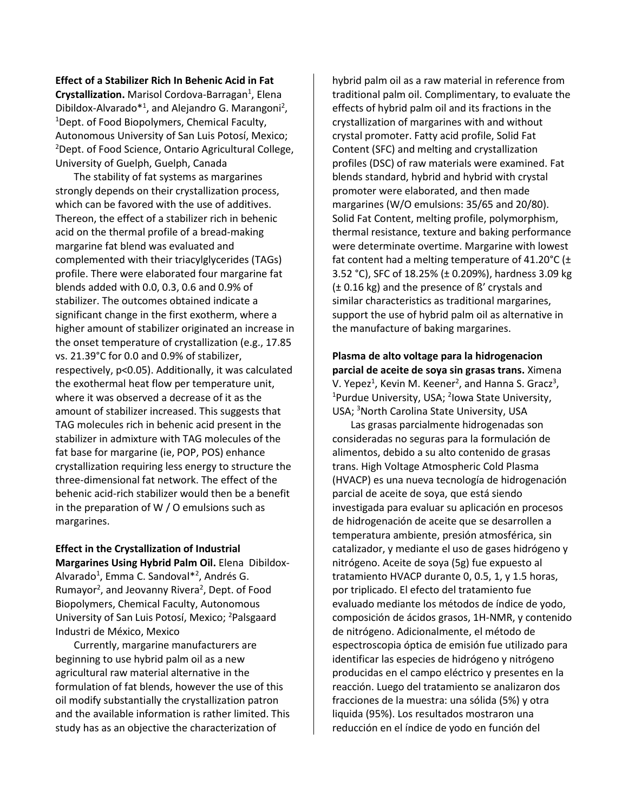**Effect of a Stabilizer Rich In Behenic Acid in Fat**  Crystallization. Marisol Cordova-Barragan<sup>1</sup>, Elena Dibildox-Alvarado\*<sup>1</sup>, and Alejandro G. Marangoni<sup>2</sup>, <sup>1</sup>Dept. of Food Biopolymers, Chemical Faculty, Autonomous University of San Luis Potosí, Mexico; <sup>2</sup>Dept. of Food Science, Ontario Agricultural College, University of Guelph, Guelph, Canada

The stability of fat systems as margarines strongly depends on their crystallization process, which can be favored with the use of additives. Thereon, the effect of a stabilizer rich in behenic acid on the thermal profile of a bread-making margarine fat blend was evaluated and complemented with their triacylglycerides (TAGs) profile. There were elaborated four margarine fat blends added with 0.0, 0.3, 0.6 and 0.9% of stabilizer. The outcomes obtained indicate a significant change in the first exotherm, where a higher amount of stabilizer originated an increase in the onset temperature of crystallization (e.g., 17.85 vs. 21.39°C for 0.0 and 0.9% of stabilizer, respectively, p<0.05). Additionally, it was calculated the exothermal heat flow per temperature unit, where it was observed a decrease of it as the amount of stabilizer increased. This suggests that TAG molecules rich in behenic acid present in the stabilizer in admixture with TAG molecules of the fat base for margarine (ie, POP, POS) enhance crystallization requiring less energy to structure the three-dimensional fat network. The effect of the behenic acid-rich stabilizer would then be a benefit in the preparation of W / O emulsions such as margarines.

**Effect in the Crystallization of Industrial Margarines Using Hybrid Palm Oil.** Elena Dibildox-Alvarado<sup>1</sup>, Emma C. Sandoval\*<sup>2</sup>, Andrés G. Rumayor<sup>2</sup>, and Jeovanny Rivera<sup>2</sup>, Dept. of Food Biopolymers, Chemical Faculty, Autonomous University of San Luis Potosí, Mexico; <sup>2</sup>Palsgaard Industri de México, Mexico

Currently, margarine manufacturers are beginning to use hybrid palm oil as a new agricultural raw material alternative in the formulation of fat blends, however the use of this oil modify substantially the crystallization patron and the available information is rather limited. This study has as an objective the characterization of

hybrid palm oil as a raw material in reference from traditional palm oil. Complimentary, to evaluate the effects of hybrid palm oil and its fractions in the crystallization of margarines with and without crystal promoter. Fatty acid profile, Solid Fat Content (SFC) and melting and crystallization profiles (DSC) of raw materials were examined. Fat blends standard, hybrid and hybrid with crystal promoter were elaborated, and then made margarines (W/O emulsions: 35/65 and 20/80). Solid Fat Content, melting profile, polymorphism, thermal resistance, texture and baking performance were determinate overtime. Margarine with lowest fat content had a melting temperature of 41.20 $^{\circ}$ C ( $\pm$ 3.52 °C), SFC of 18.25% (± 0.209%), hardness 3.09 kg (± 0.16 kg) and the presence of ß' crystals and similar characteristics as traditional margarines, support the use of hybrid palm oil as alternative in the manufacture of baking margarines.

**Plasma de alto voltage para la hidrogenacion parcial de aceite de soya sin grasas trans.** Ximena V. Yepez<sup>1</sup>, Kevin M. Keener<sup>2</sup>, and Hanna S. Gracz<sup>3</sup>, <sup>1</sup>Purdue University, USA; <sup>2</sup>Iowa State University, USA; <sup>3</sup>North Carolina State University, USA

Las grasas parcialmente hidrogenadas son consideradas no seguras para la formulación de alimentos, debido a su alto contenido de grasas trans. High Voltage Atmospheric Cold Plasma (HVACP) es una nueva tecnología de hidrogenación parcial de aceite de soya, que está siendo investigada para evaluar su aplicación en procesos de hidrogenación de aceite que se desarrollen a temperatura ambiente, presión atmosférica, sin catalizador, y mediante el uso de gases hidrógeno y nitrógeno. Aceite de soya (5g) fue expuesto al tratamiento HVACP durante 0, 0.5, 1, y 1.5 horas, por triplicado. El efecto del tratamiento fue evaluado mediante los métodos de índice de yodo, composición de ácidos grasos, 1H-NMR, y contenido de nitrógeno. Adicionalmente, el método de espectroscopia óptica de emisión fue utilizado para identificar las especies de hidrógeno y nitrógeno producidas en el campo eléctrico y presentes en la reacción. Luego del tratamiento se analizaron dos fracciones de la muestra: una sólida (5%) y otra liquida (95%). Los resultados mostraron una reducción en el índice de yodo en función del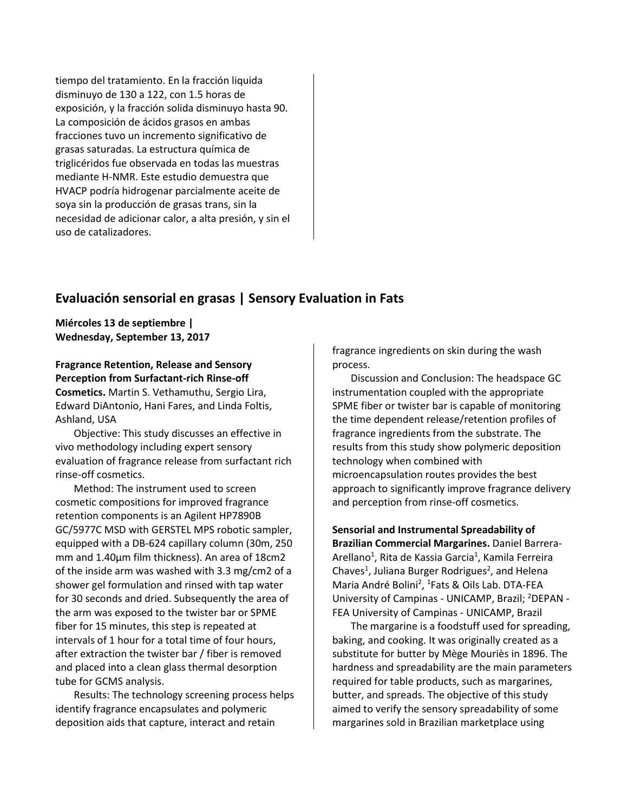tiempo del tratamiento. En la fracción liquida disminuyo de 130 a 122, con 1.5 horas de exposición, y la fracción solida disminuyo hasta 90. La composición de ácidos grasos en ambas fracciones tuvo un incremento significativo de grasas saturadas. La estructura química de triglicéridos fue observada en todas las muestras mediante H-NMR. Este estudio demuestra que HVACP podría hidrogenar parcialmente aceite de soya sin la producción de grasas trans, sin la necesidad de adicionar calor, a alta presión, y sin el uso de catalizadores.

## **Evaluación sensorial en grasas | Sensory Evaluation in Fats**

**Miércoles 13 de septiembre | Wednesday, September 13, 2017**

### **Fragrance Retention, Release and Sensory Perception from Surfactant-rich Rinse-off**

**Cosmetics.** Martin S. Vethamuthu, Sergio Lira, Edward DiAntonio, Hani Fares, and Linda Foltis, Ashland, USA

Objective: This study discusses an effective in vivo methodology including expert sensory evaluation of fragrance release from surfactant rich rinse-off cosmetics.

Method: The instrument used to screen cosmetic compositions for improved fragrance retention components is an Agilent HP7890B GC/5977C MSD with GERSTEL MPS robotic sampler, equipped with a DB-624 capillary column (30m, 250 mm and 1.40µm film thickness). An area of 18cm2 of the inside arm was washed with 3.3 mg/cm2 of a shower gel formulation and rinsed with tap water for 30 seconds and dried. Subsequently the area of the arm was exposed to the twister bar or SPME fiber for 15 minutes, this step is repeated at intervals of 1 hour for a total time of four hours, after extraction the twister bar / fiber is removed and placed into a clean glass thermal desorption tube for GCMS analysis.

Results: The technology screening process helps identify fragrance encapsulates and polymeric deposition aids that capture, interact and retain

fragrance ingredients on skin during the wash process.

Discussion and Conclusion: The headspace GC instrumentation coupled with the appropriate SPME fiber or twister bar is capable of monitoring the time dependent release/retention profiles of fragrance ingredients from the substrate. The results from this study show polymeric deposition technology when combined with microencapsulation routes provides the best approach to significantly improve fragrance delivery and perception from rinse-off cosmetics.

**Sensorial and Instrumental Spreadability of Brazilian Commercial Margarines.** Daniel Barrera-Arellano<sup>1</sup>, Rita de Kassia Garcia<sup>1</sup>, Kamila Ferreira Chaves<sup>1</sup>, Juliana Burger Rodrigues<sup>2</sup>, and Helena Maria André Bolini<sup>2</sup>, <sup>1</sup>Fats & Oils Lab. DTA-FEA University of Campinas - UNICAMP, Brazil; <sup>2</sup>DEPAN -FEA University of Campinas - UNICAMP, Brazil

The margarine is a foodstuff used for spreading, baking, and cooking. It was originally created as a substitute for butter by Mège Mouriès in 1896. The hardness and spreadability are the main parameters required for table products, such as margarines, butter, and spreads. The objective of this study aimed to verify the sensory spreadability of some margarines sold in Brazilian marketplace using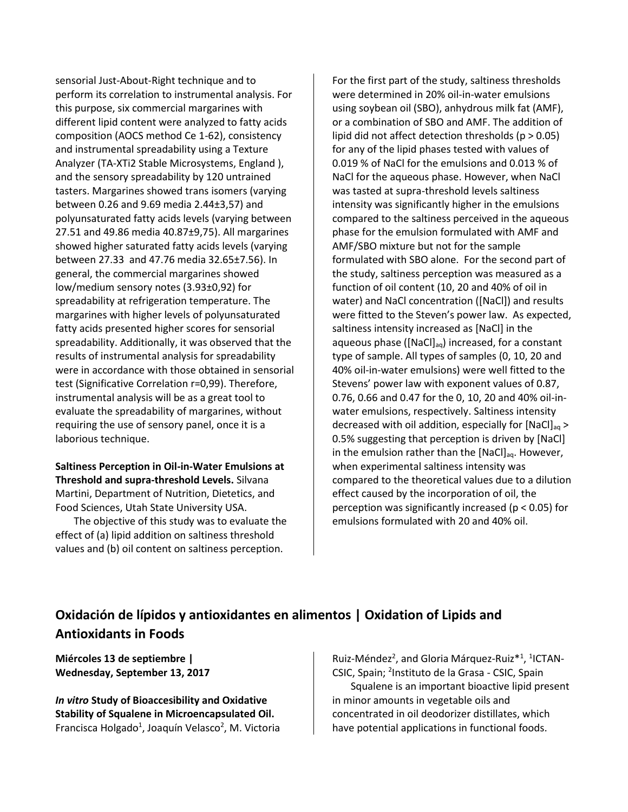sensorial Just-About-Right technique and to perform its correlation to instrumental analysis. For this purpose, six commercial margarines with different lipid content were analyzed to fatty acids composition (AOCS method Ce 1-62), consistency and instrumental spreadability using a Texture Analyzer (TA-XTi2 Stable Microsystems, England ), and the sensory spreadability by 120 untrained tasters. Margarines showed trans isomers (varying between 0.26 and 9.69 media 2.44±3,57) and polyunsaturated fatty acids levels (varying between 27.51 and 49.86 media 40.87±9,75). All margarines showed higher saturated fatty acids levels (varying between 27.33 and 47.76 media 32.65±7.56). In general, the commercial margarines showed low/medium sensory notes (3.93±0,92) for spreadability at refrigeration temperature. The margarines with higher levels of polyunsaturated fatty acids presented higher scores for sensorial spreadability. Additionally, it was observed that the results of instrumental analysis for spreadability were in accordance with those obtained in sensorial test (Significative Correlation r=0,99). Therefore, instrumental analysis will be as a great tool to evaluate the spreadability of margarines, without requiring the use of sensory panel, once it is a laborious technique.

#### **Saltiness Perception in Oil-in-Water Emulsions at Threshold and supra-threshold Levels.** Silvana Martini, Department of Nutrition, Dietetics, and Food Sciences, Utah State University USA.

The objective of this study was to evaluate the effect of (a) lipid addition on saltiness threshold values and (b) oil content on saltiness perception.

For the first part of the study, saltiness thresholds were determined in 20% oil-in-water emulsions using soybean oil (SBO), anhydrous milk fat (AMF), or a combination of SBO and AMF. The addition of lipid did not affect detection thresholds ( $p > 0.05$ ) for any of the lipid phases tested with values of 0.019 % of NaCl for the emulsions and 0.013 % of NaCl for the aqueous phase. However, when NaCl was tasted at supra-threshold levels saltiness intensity was significantly higher in the emulsions compared to the saltiness perceived in the aqueous phase for the emulsion formulated with AMF and AMF/SBO mixture but not for the sample formulated with SBO alone. For the second part of the study, saltiness perception was measured as a function of oil content (10, 20 and 40% of oil in water) and NaCl concentration ([NaCl]) and results were fitted to the Steven's power law. As expected, saltiness intensity increased as [NaCl] in the aqueous phase ([NaCl] $_{aq}$ ) increased, for a constant type of sample. All types of samples (0, 10, 20 and 40% oil-in-water emulsions) were well fitted to the Stevens' power law with exponent values of 0.87, 0.76, 0.66 and 0.47 for the 0, 10, 20 and 40% oil-inwater emulsions, respectively. Saltiness intensity decreased with oil addition, especially for  $[NaCl]_{aa}$ 0.5% suggesting that perception is driven by [NaCl] in the emulsion rather than the  $[NaCl]_{aq}$ . However, when experimental saltiness intensity was compared to the theoretical values due to a dilution effect caused by the incorporation of oil, the perception was significantly increased (p < 0.05) for emulsions formulated with 20 and 40% oil.

## **Oxidación de lípidos y antioxidantes en alimentos | Oxidation of Lipids and Antioxidants in Foods**

**Miércoles 13 de septiembre | Wednesday, September 13, 2017**

*In vitro* **Study of Bioaccesibility and Oxidative Stability of Squalene in Microencapsulated Oil.**  Francisca Holgado<sup>1</sup>, Joaquín Velasco<sup>2</sup>, M. Victoria Ruiz-Méndez<sup>2</sup>, and Gloria Márquez-Ruiz<sup>\*1</sup>, <sup>1</sup>ICTAN-CSIC, Spain; <sup>2</sup>Instituto de la Grasa - CSIC, Spain

Squalene is an important bioactive lipid present in minor amounts in vegetable oils and concentrated in oil deodorizer distillates, which have potential applications in functional foods.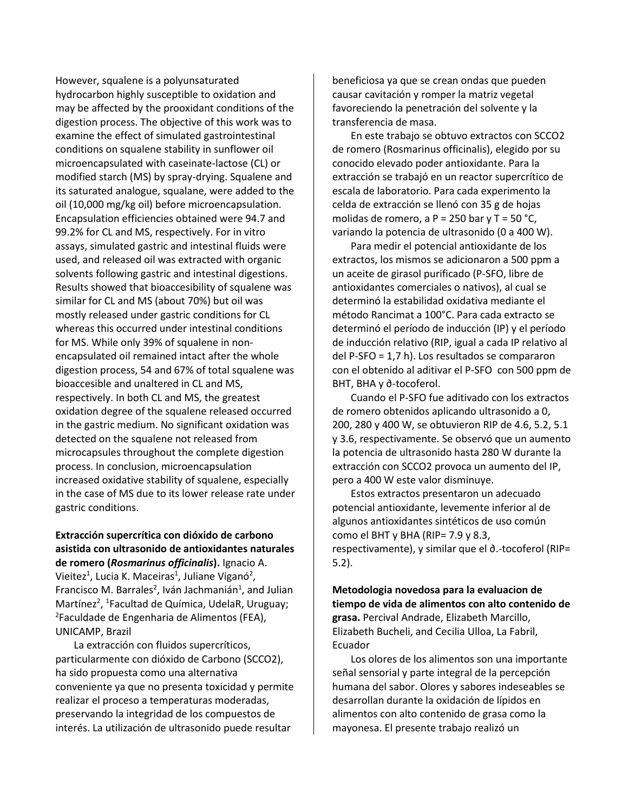However, squalene is a polyunsaturated hydrocarbon highly susceptible to oxidation and may be affected by the prooxidant conditions of the digestion process. The objective of this work was to examine the effect of simulated gastrointestinal conditions on squalene stability in sunflower oil microencapsulated with caseinate-lactose (CL) or modified starch (MS) by spray-drying. Squalene and its saturated analogue, squalane, were added to the oil (10,000 mg/kg oil) before microencapsulation. Encapsulation efficiencies obtained were 94.7 and 99.2% for CL and MS, respectively. For in vitro assays, simulated gastric and intestinal fluids were used, and released oil was extracted with organic solvents following gastric and intestinal digestions. Results showed that bioaccesibility of squalene was similar for CL and MS (about 70%) but oil was mostly released under gastric conditions for CL whereas this occurred under intestinal conditions for MS. While only 39% of squalene in nonencapsulated oil remained intact after the whole digestion process, 54 and 67% of total squalene was bioaccesible and unaltered in CL and MS, respectively. In both CL and MS, the greatest oxidation degree of the squalene released occurred in the gastric medium. No significant oxidation was detected on the squalene not released from microcapsules throughout the complete digestion process. In conclusion, microencapsulation increased oxidative stability of squalene, especially in the case of MS due to its lower release rate under gastric conditions.

### **Extracción supercrítica con dióxido de carbono asistida con ultrasonido de antioxidantes naturales de romero (***Rosmarinus officinalis***).** Ignacio A. Vieitez<sup>1</sup>, Lucia K. Maceiras<sup>1</sup>, Juliane Viganó<sup>2</sup>, Francisco M. Barrales<sup>2</sup>, Iván Jachmanián<sup>1</sup>, and Julian Martínez<sup>2</sup>, <sup>1</sup>Facultad de Química, UdelaR, Uruguay; 2 Faculdade de Engenharia de Alimentos (FEA), UNICAMP, Brazil

La extracción con fluidos supercríticos, particularmente con dióxido de Carbono (SCCO2), ha sido propuesta como una alternativa conveniente ya que no presenta toxicidad y permite realizar el proceso a temperaturas moderadas, preservando la integridad de los compuestos de interés. La utilización de ultrasonido puede resultar

beneficiosa ya que se crean ondas que pueden causar cavitación y romper la matriz vegetal favoreciendo la penetración del solvente y la transferencia de masa.

En este trabajo se obtuvo extractos con SCCO2 de romero (Rosmarinus officinalis), elegido por su conocido elevado poder antioxidante. Para la extracción se trabajó en un reactor supercrítico de escala de laboratorio. Para cada experimento la celda de extracción se llenó con 35 g de hojas molidas de romero, a P = 250 bar y T = 50 °C, variando la potencia de ultrasonido (0 a 400 W).

Para medir el potencial antioxidante de los extractos, los mismos se adicionaron a 500 ppm a un aceite de girasol purificado (P-SFO, libre de antioxidantes comerciales o nativos), al cual se determinó la estabilidad oxidativa mediante el método Rancimat a 100°C. Para cada extracto se determinó el período de inducción (IP) y el período de inducción relativo (RIP, igual a cada IP relativo al del P-SFO = 1,7 h). Los resultados se compararon con el obtenido al aditivar el P-SFO con 500 ppm de BHT, BHA y ∂-tocoferol.

Cuando el P-SFO fue aditivado con los extractos de romero obtenidos aplicando ultrasonido a 0, 200, 280 y 400 W, se obtuvieron RIP de 4.6, 5.2, 5.1 y 3.6, respectivamente. Se observó que un aumento la potencia de ultrasonido hasta 280 W durante la extracción con SCCO2 provoca un aumento del IP, pero a 400 W este valor disminuye.

Estos extractos presentaron un adecuado potencial antioxidante, levemente inferior al de algunos antioxidantes sintéticos de uso común como el BHT y BHA (RIP= 7.9 y 8.3, respectivamente), y similar que el ∂.-tocoferol (RIP= 5.2).

**Metodologia novedosa para la evaluacion de tiempo de vida de alimentos con alto contenido de grasa.** Percival Andrade, Elizabeth Marcillo, Elizabeth Bucheli, and Cecilia Ulloa, La Fabril, Ecuador

Los olores de los alimentos son una importante señal sensorial y parte integral de la percepción humana del sabor. Olores y sabores indeseables se desarrollan durante la oxidación de lípidos en alimentos con alto contenido de grasa como la mayonesa. El presente trabajo realizó un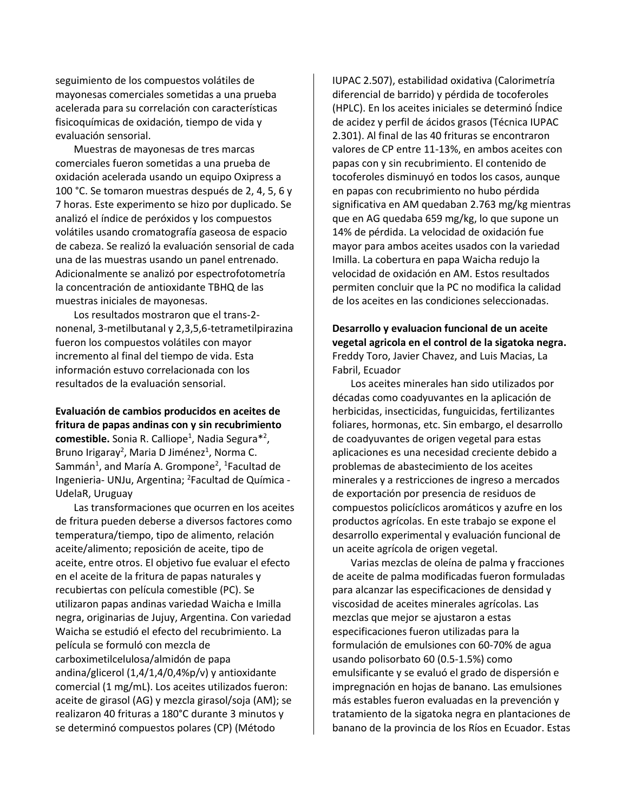seguimiento de los compuestos volátiles de mayonesas comerciales sometidas a una prueba acelerada para su correlación con características fisicoquímicas de oxidación, tiempo de vida y evaluación sensorial.

Muestras de mayonesas de tres marcas comerciales fueron sometidas a una prueba de oxidación acelerada usando un equipo Oxipress a 100 °C. Se tomaron muestras después de 2, 4, 5, 6 y 7 horas. Este experimento se hizo por duplicado. Se analizó el índice de peróxidos y los compuestos volátiles usando cromatografía gaseosa de espacio de cabeza. Se realizó la evaluación sensorial de cada una de las muestras usando un panel entrenado. Adicionalmente se analizó por espectrofotometría la concentración de antioxidante TBHQ de las muestras iniciales de mayonesas.

Los resultados mostraron que el trans-2 nonenal, 3-metilbutanal y 2,3,5,6-tetrametilpirazina fueron los compuestos volátiles con mayor incremento al final del tiempo de vida. Esta información estuvo correlacionada con los resultados de la evaluación sensorial.

**Evaluación de cambios producidos en aceites de fritura de papas andinas con y sin recubrimiento**  comestible. Sonia R. Calliope<sup>1</sup>, Nadia Segura<sup>\*2</sup>, Bruno Irigaray<sup>2</sup>, Maria D Jiménez<sup>1</sup>, Norma C. Sammán<sup>1</sup>, and María A. Grompone<sup>2</sup>, <sup>1</sup>Facultad de Ingenieria- UNJu, Argentina; <sup>2</sup>Facultad de Química -UdelaR, Uruguay

Las transformaciones que ocurren en los aceites de fritura pueden deberse a diversos factores como temperatura/tiempo, tipo de alimento, relación aceite/alimento; reposición de aceite, tipo de aceite, entre otros. El objetivo fue evaluar el efecto en el aceite de la fritura de papas naturales y recubiertas con película comestible (PC). Se utilizaron papas andinas variedad Waicha e Imilla negra, originarias de Jujuy, Argentina. Con variedad Waicha se estudió el efecto del recubrimiento. La película se formuló con mezcla de carboximetilcelulosa/almidón de papa andina/glicerol (1,4/1,4/0,4%p/v) y antioxidante comercial (1 mg/mL). Los aceites utilizados fueron: aceite de girasol (AG) y mezcla girasol/soja (AM); se realizaron 40 frituras a 180°C durante 3 minutos y se determinó compuestos polares (CP) (Método

IUPAC 2.507), estabilidad oxidativa (Calorimetría diferencial de barrido) y pérdida de tocoferoles (HPLC). En los aceites iniciales se determinó Índice de acidez y perfil de ácidos grasos (Técnica IUPAC 2.301). Al final de las 40 frituras se encontraron valores de CP entre 11-13%, en ambos aceites con papas con y sin recubrimiento. El contenido de tocoferoles disminuyó en todos los casos, aunque en papas con recubrimiento no hubo pérdida significativa en AM quedaban 2.763 mg/kg mientras que en AG quedaba 659 mg/kg, lo que supone un 14% de pérdida. La velocidad de oxidación fue mayor para ambos aceites usados con la variedad Imilla. La cobertura en papa Waicha redujo la velocidad de oxidación en AM. Estos resultados permiten concluir que la PC no modifica la calidad de los aceites en las condiciones seleccionadas.

**Desarrollo y evaluacion funcional de un aceite vegetal agricola en el control de la sigatoka negra.**  Freddy Toro, Javier Chavez, and Luis Macias, La Fabril, Ecuador

Los aceites minerales han sido utilizados por décadas como coadyuvantes en la aplicación de herbicidas, insecticidas, funguicidas, fertilizantes foliares, hormonas, etc. Sin embargo, el desarrollo de coadyuvantes de origen vegetal para estas aplicaciones es una necesidad creciente debido a problemas de abastecimiento de los aceites minerales y a restricciones de ingreso a mercados de exportación por presencia de residuos de compuestos policíclicos aromáticos y azufre en los productos agrícolas. En este trabajo se expone el desarrollo experimental y evaluación funcional de un aceite agrícola de origen vegetal.

Varias mezclas de oleína de palma y fracciones de aceite de palma modificadas fueron formuladas para alcanzar las especificaciones de densidad y viscosidad de aceites minerales agrícolas. Las mezclas que mejor se ajustaron a estas especificaciones fueron utilizadas para la formulación de emulsiones con 60-70% de agua usando polisorbato 60 (0.5-1.5%) como emulsificante y se evaluó el grado de dispersión e impregnación en hojas de banano. Las emulsiones más estables fueron evaluadas en la prevención y tratamiento de la sigatoka negra en plantaciones de banano de la provincia de los Ríos en Ecuador. Estas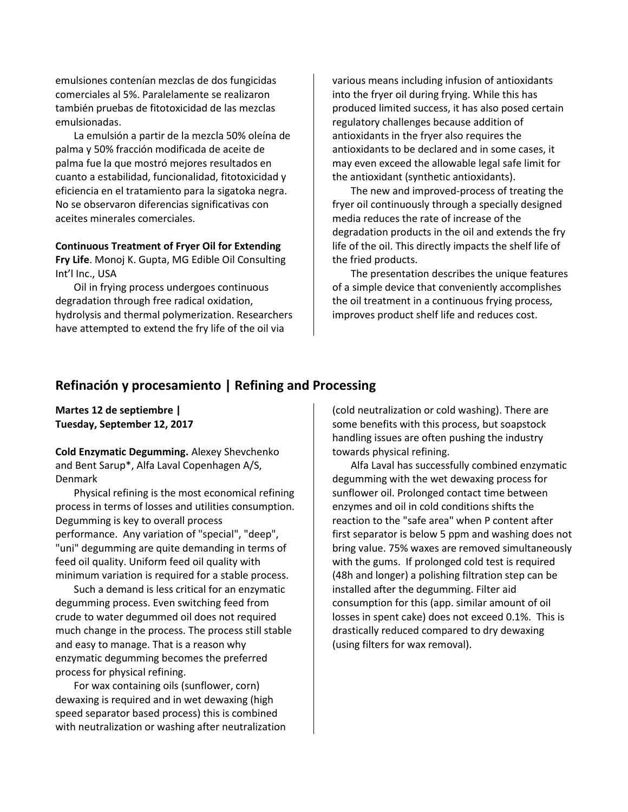emulsiones contenían mezclas de dos fungicidas comerciales al 5%. Paralelamente se realizaron también pruebas de fitotoxicidad de las mezclas emulsionadas.

La emulsión a partir de la mezcla 50% oleína de palma y 50% fracción modificada de aceite de palma fue la que mostró mejores resultados en cuanto a estabilidad, funcionalidad, fitotoxicidad y eficiencia en el tratamiento para la sigatoka negra. No se observaron diferencias significativas con aceites minerales comerciales.

#### **Continuous Treatment of Fryer Oil for Extending**

**Fry Life**. Monoj K. Gupta, MG Edible Oil Consulting Int'l Inc., USA

Oil in frying process undergoes continuous degradation through free radical oxidation, hydrolysis and thermal polymerization. Researchers have attempted to extend the fry life of the oil via

various means including infusion of antioxidants into the fryer oil during frying. While this has produced limited success, it has also posed certain regulatory challenges because addition of antioxidants in the fryer also requires the antioxidants to be declared and in some cases, it may even exceed the allowable legal safe limit for the antioxidant (synthetic antioxidants).

The new and improved-process of treating the fryer oil continuously through a specially designed media reduces the rate of increase of the degradation products in the oil and extends the fry life of the oil. This directly impacts the shelf life of the fried products.

The presentation describes the unique features of a simple device that conveniently accomplishes the oil treatment in a continuous frying process, improves product shelf life and reduces cost.

### **Refinación y procesamiento | Refining and Processing**

**Martes 12 de septiembre | Tuesday, September 12, 2017**

**Cold Enzymatic Degumming.** Alexey Shevchenko and Bent Sarup\*, Alfa Laval Copenhagen A/S, Denmark

Physical refining is the most economical refining process in terms of losses and utilities consumption. Degumming is key to overall process performance. Any variation of "special", "deep", "uni" degumming are quite demanding in terms of feed oil quality. Uniform feed oil quality with minimum variation is required for a stable process.

Such a demand is less critical for an enzymatic degumming process. Even switching feed from crude to water degummed oil does not required much change in the process. The process still stable and easy to manage. That is a reason why enzymatic degumming becomes the preferred process for physical refining.

For wax containing oils (sunflower, corn) dewaxing is required and in wet dewaxing (high speed separator based process) this is combined with neutralization or washing after neutralization (cold neutralization or cold washing). There are some benefits with this process, but soapstock handling issues are often pushing the industry towards physical refining.

Alfa Laval has successfully combined enzymatic degumming with the wet dewaxing process for sunflower oil. Prolonged contact time between enzymes and oil in cold conditions shifts the reaction to the "safe area" when P content after first separator is below 5 ppm and washing does not bring value. 75% waxes are removed simultaneously with the gums. If prolonged cold test is required (48h and longer) a polishing filtration step can be installed after the degumming. Filter aid consumption for this (app. similar amount of oil losses in spent cake) does not exceed 0.1%. This is drastically reduced compared to dry dewaxing (using filters for wax removal).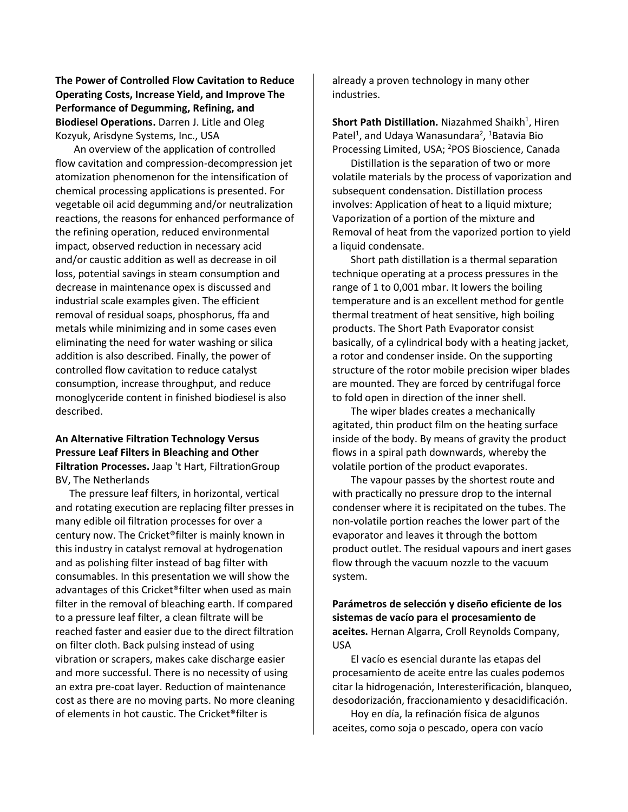**The Power of Controlled Flow Cavitation to Reduce Operating Costs, Increase Yield, and Improve The Performance of Degumming, Refining, and Biodiesel Operations.** Darren J. Litle and Oleg Kozyuk, Arisdyne Systems, Inc., USA

An overview of the application of controlled flow cavitation and compression-decompression jet atomization phenomenon for the intensification of chemical processing applications is presented. For vegetable oil acid degumming and/or neutralization reactions, the reasons for enhanced performance of the refining operation, reduced environmental impact, observed reduction in necessary acid and/or caustic addition as well as decrease in oil loss, potential savings in steam consumption and decrease in maintenance opex is discussed and industrial scale examples given. The efficient removal of residual soaps, phosphorus, ffa and metals while minimizing and in some cases even eliminating the need for water washing or silica addition is also described. Finally, the power of controlled flow cavitation to reduce catalyst consumption, increase throughput, and reduce monoglyceride content in finished biodiesel is also described.

### **An Alternative Filtration Technology Versus Pressure Leaf Filters in Bleaching and Other Filtration Processes.** Jaap 't Hart, FiltrationGroup BV, The Netherlands

The pressure leaf filters, in horizontal, vertical and rotating execution are replacing filter presses in many edible oil filtration processes for over a century now. The Cricket®filter is mainly known in this industry in catalyst removal at hydrogenation and as polishing filter instead of bag filter with consumables. In this presentation we will show the advantages of this Cricket®filter when used as main filter in the removal of bleaching earth. If compared to a pressure leaf filter, a clean filtrate will be reached faster and easier due to the direct filtration on filter cloth. Back pulsing instead of using vibration or scrapers, makes cake discharge easier and more successful. There is no necessity of using an extra pre-coat layer. Reduction of maintenance cost as there are no moving parts. No more cleaning of elements in hot caustic. The Cricket®filter is

already a proven technology in many other industries.

**Short Path Distillation.** Niazahmed Shaikh<sup>1</sup>, Hiren Patel<sup>1</sup>, and Udaya Wanasundara<sup>2</sup>, <sup>1</sup>Batavia Bio Processing Limited, USA; <sup>2</sup>POS Bioscience, Canada

Distillation is the separation of two or more volatile materials by the process of vaporization and subsequent condensation. Distillation process involves: Application of heat to a liquid mixture; Vaporization of a portion of the mixture and Removal of heat from the vaporized portion to yield a liquid condensate.

Short path distillation is a thermal separation technique operating at a process pressures in the range of 1 to 0,001 mbar. It lowers the boiling temperature and is an excellent method for gentle thermal treatment of heat sensitive, high boiling products. The Short Path Evaporator consist basically, of a cylindrical body with a heating jacket, a rotor and condenser inside. On the supporting structure of the rotor mobile precision wiper blades are mounted. They are forced by centrifugal force to fold open in direction of the inner shell.

The wiper blades creates a mechanically agitated, thin product film on the heating surface inside of the body. By means of gravity the product flows in a spiral path downwards, whereby the volatile portion of the product evaporates.

The vapour passes by the shortest route and with practically no pressure drop to the internal condenser where it is recipitated on the tubes. The non-volatile portion reaches the lower part of the evaporator and leaves it through the bottom product outlet. The residual vapours and inert gases flow through the vacuum nozzle to the vacuum system.

**Parámetros de selección y diseño eficiente de los sistemas de vacío para el procesamiento de aceites.** Hernan Algarra, Croll Reynolds Company, USA

El vacío es esencial durante las etapas del procesamiento de aceite entre las cuales podemos citar la hidrogenación, Interesterificación, blanqueo, desodorización, fraccionamiento y desacidificación.

Hoy en día, la refinación física de algunos aceites, como soja o pescado, opera con vacío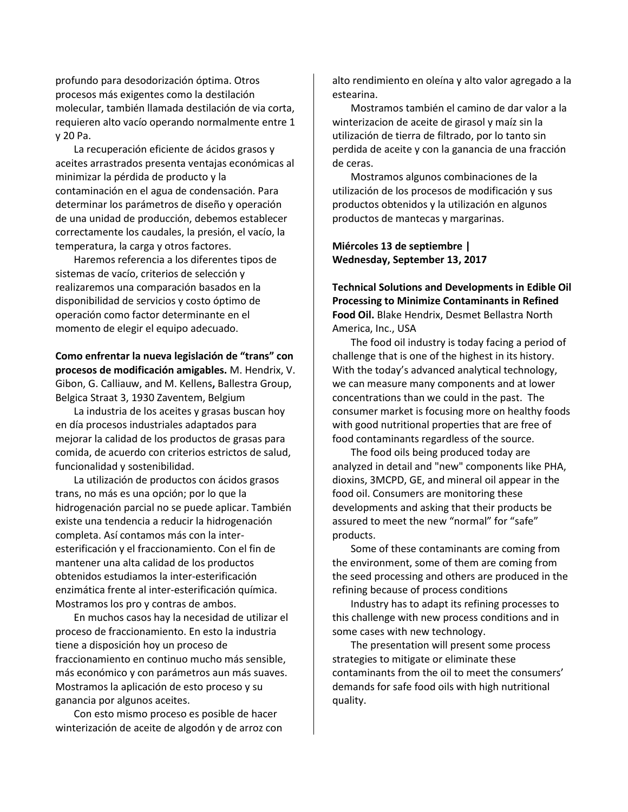profundo para desodorización óptima. Otros procesos más exigentes como la destilación molecular, también llamada destilación de via corta, requieren alto vacío operando normalmente entre 1 y 20 Pa.

La recuperación eficiente de ácidos grasos y aceites arrastrados presenta ventajas económicas al minimizar la pérdida de producto y la contaminación en el agua de condensación. Para determinar los parámetros de diseño y operación de una unidad de producción, debemos establecer correctamente los caudales, la presión, el vacío, la temperatura, la carga y otros factores.

Haremos referencia a los diferentes tipos de sistemas de vacío, criterios de selección y realizaremos una comparación basados en la disponibilidad de servicios y costo óptimo de operación como factor determinante en el momento de elegir el equipo adecuado.

**Como enfrentar la nueva legislación de "trans" con procesos de modificación amigables.** M. Hendrix, V. Gibon, G. Calliauw, and M. Kellens**,** Ballestra Group, Belgica Straat 3, 1930 Zaventem, Belgium

La industria de los aceites y grasas buscan hoy en día procesos industriales adaptados para mejorar la calidad de los productos de grasas para comida, de acuerdo con criterios estrictos de salud, funcionalidad y sostenibilidad.

La utilización de productos con ácidos grasos trans, no más es una opción; por lo que la hidrogenación parcial no se puede aplicar. También existe una tendencia a reducir la hidrogenación completa. Así contamos más con la interesterificación y el fraccionamiento. Con el fin de mantener una alta calidad de los productos obtenidos estudiamos la inter-esterificación enzimática frente al inter-esterificación química. Mostramos los pro y contras de ambos.

En muchos casos hay la necesidad de utilizar el proceso de fraccionamiento. En esto la industria tiene a disposición hoy un proceso de fraccionamiento en continuo mucho más sensible, más económico y con parámetros aun más suaves. Mostramos la aplicación de esto proceso y su ganancia por algunos aceites.

Con esto mismo proceso es posible de hacer winterización de aceite de algodón y de arroz con alto rendimiento en oleína y alto valor agregado a la estearina.

Mostramos también el camino de dar valor a la winterizacion de aceite de girasol y maíz sin la utilización de tierra de filtrado, por lo tanto sin perdida de aceite y con la ganancia de una fracción de ceras.

Mostramos algunos combinaciones de la utilización de los procesos de modificación y sus productos obtenidos y la utilización en algunos productos de mantecas y margarinas.

#### **Miércoles 13 de septiembre | Wednesday, September 13, 2017**

**Technical Solutions and Developments in Edible Oil Processing to Minimize Contaminants in Refined Food Oil.** Blake Hendrix, Desmet Bellastra North America, Inc., USA

The food oil industry is today facing a period of challenge that is one of the highest in its history. With the today's advanced analytical technology, we can measure many components and at lower concentrations than we could in the past. The consumer market is focusing more on healthy foods with good nutritional properties that are free of food contaminants regardless of the source.

The food oils being produced today are analyzed in detail and "new" components like PHA, dioxins, 3MCPD, GE, and mineral oil appear in the food oil. Consumers are monitoring these developments and asking that their products be assured to meet the new "normal" for "safe" products.

Some of these contaminants are coming from the environment, some of them are coming from the seed processing and others are produced in the refining because of process conditions

Industry has to adapt its refining processes to this challenge with new process conditions and in some cases with new technology.

The presentation will present some process strategies to mitigate or eliminate these contaminants from the oil to meet the consumers' demands for safe food oils with high nutritional quality.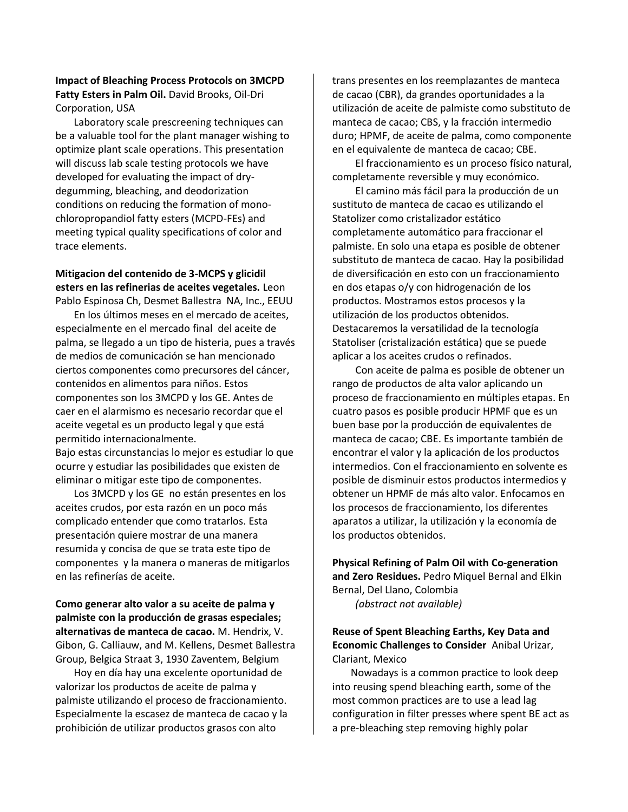#### **Impact of Bleaching Process Protocols on 3MCPD Fatty Esters in Palm Oil.** David Brooks, Oil-Dri Corporation, USA

Laboratory scale prescreening techniques can be a valuable tool for the plant manager wishing to optimize plant scale operations. This presentation will discuss lab scale testing protocols we have developed for evaluating the impact of drydegumming, bleaching, and deodorization conditions on reducing the formation of monochloropropandiol fatty esters (MCPD-FEs) and meeting typical quality specifications of color and trace elements.

#### **Mitigacion del contenido de 3-MCPS y glicidil esters en las refinerias de aceites vegetales.** Leon Pablo Espinosa Ch, Desmet Ballestra NA, Inc., EEUU

En los últimos meses en el mercado de aceites, especialmente en el mercado final del aceite de palma, se llegado a un tipo de histeria, pues a través de medios de comunicación se han mencionado ciertos componentes como precursores del cáncer, contenidos en alimentos para niños. Estos componentes son los 3MCPD y los GE. Antes de caer en el alarmismo es necesario recordar que el aceite vegetal es un producto legal y que está permitido internacionalmente.

Bajo estas circunstancias lo mejor es estudiar lo que ocurre y estudiar las posibilidades que existen de eliminar o mitigar este tipo de componentes.

Los 3MCPD y los GE no están presentes en los aceites crudos, por esta razón en un poco más complicado entender que como tratarlos. Esta presentación quiere mostrar de una manera resumida y concisa de que se trata este tipo de componentes y la manera o maneras de mitigarlos en las refinerías de aceite.

### **Como generar alto valor a su aceite de palma y palmiste con la producción de grasas especiales; alternativas de manteca de cacao.** M. Hendrix, V. Gibon, G. Calliauw, and M. Kellens, Desmet Ballestra Group, Belgica Straat 3, 1930 Zaventem, Belgium

Hoy en día hay una excelente oportunidad de valorizar los productos de aceite de palma y palmiste utilizando el proceso de fraccionamiento. Especialmente la escasez de manteca de cacao y la prohibición de utilizar productos grasos con alto

trans presentes en los reemplazantes de manteca de cacao (CBR), da grandes oportunidades a la utilización de aceite de palmiste como substituto de manteca de cacao; CBS, y la fracción intermedio duro; HPMF, de aceite de palma, como componente en el equivalente de manteca de cacao; CBE.

El fraccionamiento es un proceso físico natural, completamente reversible y muy económico.

El camino más fácil para la producción de un sustituto de manteca de cacao es utilizando el Statolizer como cristalizador estático completamente automático para fraccionar el palmiste. En solo una etapa es posible de obtener substituto de manteca de cacao. Hay la posibilidad de diversificación en esto con un fraccionamiento en dos etapas o/y con hidrogenación de los productos. Mostramos estos procesos y la utilización de los productos obtenidos. Destacaremos la versatilidad de la tecnología Statoliser (cristalización estática) que se puede aplicar a los aceites crudos o refinados.

Con aceite de palma es posible de obtener un rango de productos de alta valor aplicando un proceso de fraccionamiento en múltiples etapas. En cuatro pasos es posible producir HPMF que es un buen base por la producción de equivalentes de manteca de cacao; CBE. Es importante también de encontrar el valor y la aplicación de los productos intermedios. Con el fraccionamiento en solvente es posible de disminuir estos productos intermedios y obtener un HPMF de más alto valor. Enfocamos en los procesos de fraccionamiento, los diferentes aparatos a utilizar, la utilización y la economía de los productos obtenidos.

**Physical Refining of Palm Oil with Co-generation and Zero Residues.** Pedro Miquel Bernal and Elkin Bernal, Del Llano, Colombia

*(abstract not available)*

#### **Reuse of Spent Bleaching Earths, Key Data and Economic Challenges to Consider** Anibal Urizar, Clariant, Mexico

Nowadays is a common practice to look deep into reusing spend bleaching earth, some of the most common practices are to use a lead lag configuration in filter presses where spent BE act as a pre-bleaching step removing highly polar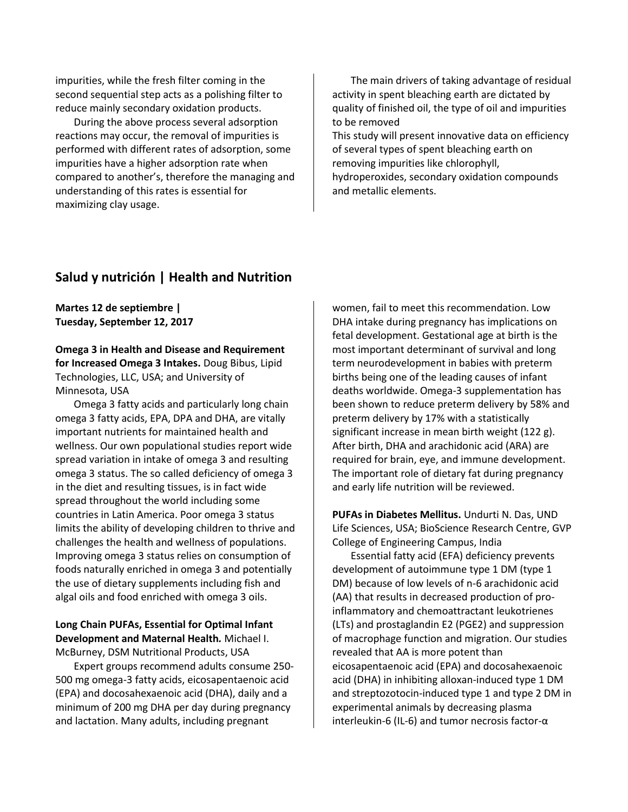impurities, while the fresh filter coming in the second sequential step acts as a polishing filter to reduce mainly secondary oxidation products.

During the above process several adsorption reactions may occur, the removal of impurities is performed with different rates of adsorption, some impurities have a higher adsorption rate when compared to another's, therefore the managing and understanding of this rates is essential for maximizing clay usage.

### **Salud y nutrición | Health and Nutrition**

#### **Martes 12 de septiembre | Tuesday, September 12, 2017**

#### **Omega 3 in Health and Disease and Requirement for Increased Omega 3 Intakes.** Doug Bibus, Lipid Technologies, LLC, USA; and University of Minnesota, USA

Omega 3 fatty acids and particularly long chain omega 3 fatty acids, EPA, DPA and DHA, are vitally important nutrients for maintained health and wellness. Our own populational studies report wide spread variation in intake of omega 3 and resulting omega 3 status. The so called deficiency of omega 3 in the diet and resulting tissues, is in fact wide spread throughout the world including some countries in Latin America. Poor omega 3 status limits the ability of developing children to thrive and challenges the health and wellness of populations. Improving omega 3 status relies on consumption of foods naturally enriched in omega 3 and potentially the use of dietary supplements including fish and algal oils and food enriched with omega 3 oils.

#### **Long Chain PUFAs, Essential for Optimal Infant Development and Maternal Health***.* Michael I. McBurney, DSM Nutritional Products, USA

Expert groups recommend adults consume 250- 500 mg omega-3 fatty acids, eicosapentaenoic acid (EPA) and docosahexaenoic acid (DHA), daily and a minimum of 200 mg DHA per day during pregnancy and lactation. Many adults, including pregnant

The main drivers of taking advantage of residual activity in spent bleaching earth are dictated by quality of finished oil, the type of oil and impurities to be removed

This study will present innovative data on efficiency of several types of spent bleaching earth on removing impurities like chlorophyll,

hydroperoxides, secondary oxidation compounds and metallic elements.

women, fail to meet this recommendation. Low DHA intake during pregnancy has implications on fetal development. Gestational age at birth is the most important determinant of survival and long term neurodevelopment in babies with preterm births being one of the leading causes of infant deaths worldwide. Omega-3 supplementation has been shown to reduce preterm delivery by 58% and preterm delivery by 17% with a statistically significant increase in mean birth weight (122 g). After birth, DHA and arachidonic acid (ARA) are required for brain, eye, and immune development. The important role of dietary fat during pregnancy and early life nutrition will be reviewed.

**PUFAs in Diabetes Mellitus.** Undurti N. Das, UND Life Sciences, USA; BioScience Research Centre, GVP College of Engineering Campus, India

Essential fatty acid (EFA) deficiency prevents development of autoimmune type 1 DM (type 1 DM) because of low levels of n-6 arachidonic acid (AA) that results in decreased production of proinflammatory and chemoattractant leukotrienes (LTs) and prostaglandin E2 (PGE2) and suppression of macrophage function and migration. Our studies revealed that AA is more potent than eicosapentaenoic acid (EPA) and docosahexaenoic acid (DHA) in inhibiting alloxan-induced type 1 DM and streptozotocin-induced type 1 and type 2 DM in experimental animals by decreasing plasma interleukin-6 (IL-6) and tumor necrosis factor-α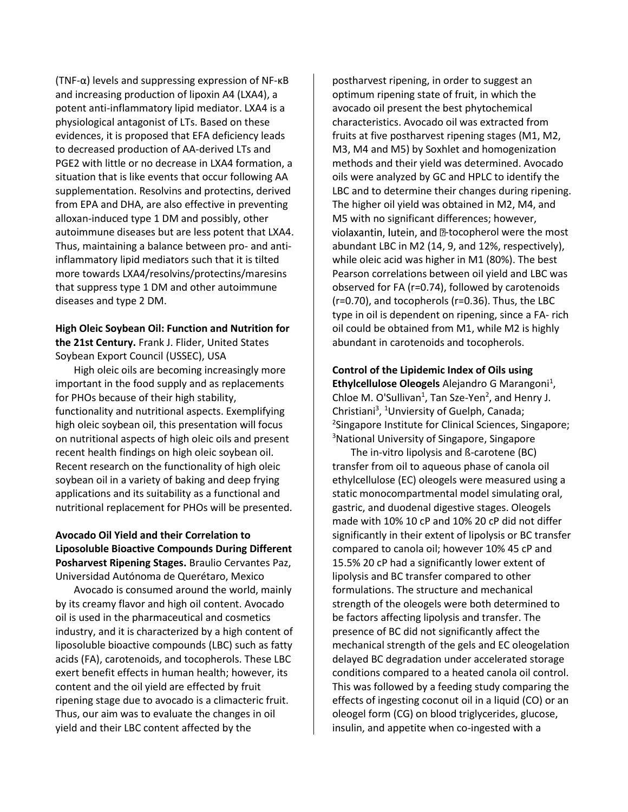(TNF-α) levels and suppressing expression of NF-κB and increasing production of lipoxin A4 (LXA4), a potent anti-inflammatory lipid mediator. LXA4 is a physiological antagonist of LTs. Based on these evidences, it is proposed that EFA deficiency leads to decreased production of AA-derived LTs and PGE2 with little or no decrease in LXA4 formation, a situation that is like events that occur following AA supplementation. Resolvins and protectins, derived from EPA and DHA, are also effective in preventing alloxan-induced type 1 DM and possibly, other autoimmune diseases but are less potent that LXA4. Thus, maintaining a balance between pro- and antiinflammatory lipid mediators such that it is tilted more towards LXA4/resolvins/protectins/maresins that suppress type 1 DM and other autoimmune diseases and type 2 DM.

**High Oleic Soybean Oil: Function and Nutrition for the 21st Century.** Frank J. Flider, United States Soybean Export Council (USSEC), USA

High oleic oils are becoming increasingly more important in the food supply and as replacements for PHOs because of their high stability, functionality and nutritional aspects. Exemplifying high oleic soybean oil, this presentation will focus on nutritional aspects of high oleic oils and present recent health findings on high oleic soybean oil. Recent research on the functionality of high oleic soybean oil in a variety of baking and deep frying applications and its suitability as a functional and nutritional replacement for PHOs will be presented.

#### **Avocado Oil Yield and their Correlation to Liposoluble Bioactive Compounds During Different Posharvest Ripening Stages.** Braulio Cervantes Paz, Universidad Autónoma de Querétaro, Mexico

Avocado is consumed around the world, mainly by its creamy flavor and high oil content. Avocado oil is used in the pharmaceutical and cosmetics industry, and it is characterized by a high content of liposoluble bioactive compounds (LBC) such as fatty acids (FA), carotenoids, and tocopherols. These LBC exert benefit effects in human health; however, its content and the oil yield are effected by fruit ripening stage due to avocado is a climacteric fruit. Thus, our aim was to evaluate the changes in oil yield and their LBC content affected by the

postharvest ripening, in order to suggest an optimum ripening state of fruit, in which the avocado oil present the best phytochemical characteristics. Avocado oil was extracted from fruits at five postharvest ripening stages (M1, M2, M3, M4 and M5) by Soxhlet and homogenization methods and their yield was determined. Avocado oils were analyzed by GC and HPLC to identify the LBC and to determine their changes during ripening. The higher oil yield was obtained in M2, M4, and M5 with no significant differences; however, violaxantin, lutein, and **E**-tocopherol were the most abundant LBC in M2 (14, 9, and 12%, respectively), while oleic acid was higher in M1 (80%). The best Pearson correlations between oil yield and LBC was observed for FA (r=0.74), followed by carotenoids (r=0.70), and tocopherols (r=0.36). Thus, the LBC type in oil is dependent on ripening, since a FA- rich oil could be obtained from M1, while M2 is highly abundant in carotenoids and tocopherols.

**Control of the Lipidemic Index of Oils using**  Ethylcellulose Oleogels Alejandro G Marangoni<sup>1</sup>, Chloe M. O'Sullivan<sup>1</sup>, Tan Sze-Yen<sup>2</sup>, and Henry J. Christiani<sup>3</sup>, <sup>1</sup>Unviersity of Guelph, Canada; <sup>2</sup>Singapore Institute for Clinical Sciences, Singapore; <sup>3</sup>National University of Singapore, Singapore

The in-vitro lipolysis and ß-carotene (BC) transfer from oil to aqueous phase of canola oil ethylcellulose (EC) oleogels were measured using a static monocompartmental model simulating oral, gastric, and duodenal digestive stages. Oleogels made with 10% 10 cP and 10% 20 cP did not differ significantly in their extent of lipolysis or BC transfer compared to canola oil; however 10% 45 cP and 15.5% 20 cP had a significantly lower extent of lipolysis and BC transfer compared to other formulations. The structure and mechanical strength of the oleogels were both determined to be factors affecting lipolysis and transfer. The presence of BC did not significantly affect the mechanical strength of the gels and EC oleogelation delayed BC degradation under accelerated storage conditions compared to a heated canola oil control. This was followed by a feeding study comparing the effects of ingesting coconut oil in a liquid (CO) or an oleogel form (CG) on blood triglycerides, glucose, insulin, and appetite when co-ingested with a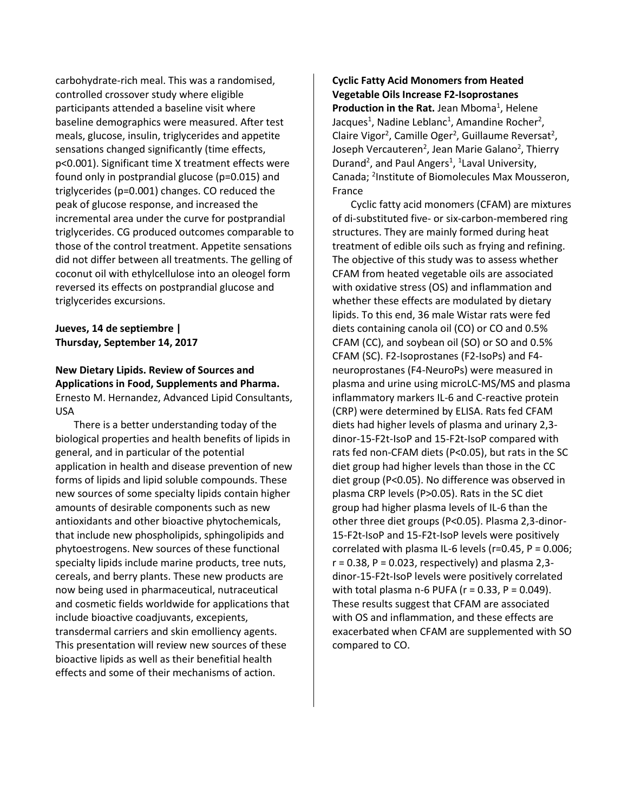carbohydrate-rich meal. This was a randomised, controlled crossover study where eligible participants attended a baseline visit where baseline demographics were measured. After test meals, glucose, insulin, triglycerides and appetite sensations changed significantly (time effects, p<0.001). Significant time X treatment effects were found only in postprandial glucose (p=0.015) and triglycerides (p=0.001) changes. CO reduced the peak of glucose response, and increased the incremental area under the curve for postprandial triglycerides. CG produced outcomes comparable to those of the control treatment. Appetite sensations did not differ between all treatments. The gelling of coconut oil with ethylcellulose into an oleogel form reversed its effects on postprandial glucose and triglycerides excursions.

### **Jueves, 14 de septiembre | Thursday, September 14, 2017**

#### **New Dietary Lipids. Review of Sources and Applications in Food, Supplements and Pharma.**  Ernesto M. Hernandez, Advanced Lipid Consultants, USA

There is a better understanding today of the biological properties and health benefits of lipids in general, and in particular of the potential application in health and disease prevention of new forms of lipids and lipid soluble compounds. These new sources of some specialty lipids contain higher amounts of desirable components such as new antioxidants and other bioactive phytochemicals, that include new phospholipids, sphingolipids and phytoestrogens. New sources of these functional specialty lipids include marine products, tree nuts, cereals, and berry plants. These new products are now being used in pharmaceutical, nutraceutical and cosmetic fields worldwide for applications that include bioactive coadjuvants, excepients, transdermal carriers and skin emolliency agents. This presentation will review new sources of these bioactive lipids as well as their benefitial health effects and some of their mechanisms of action.

**Cyclic Fatty Acid Monomers from Heated Vegetable Oils Increase F2-Isoprostanes**  Production in the Rat. Jean Mboma<sup>1</sup>, Helene Jacques<sup>1</sup>, Nadine Leblanc<sup>1</sup>, Amandine Rocher<sup>2</sup>, Claire Vigor<sup>2</sup>, Camille Oger<sup>2</sup>, Guillaume Reversat<sup>2</sup>, Joseph Vercauteren<sup>2</sup>, Jean Marie Galano<sup>2</sup>, Thierry Durand<sup>2</sup>, and Paul Angers<sup>1</sup>, <sup>1</sup>Laval University, Canada; <sup>2</sup>Institute of Biomolecules Max Mousseron, France

Cyclic fatty acid monomers (CFAM) are mixtures of di-substituted five- or six-carbon-membered ring structures. They are mainly formed during heat treatment of edible oils such as frying and refining. The objective of this study was to assess whether CFAM from heated vegetable oils are associated with oxidative stress (OS) and inflammation and whether these effects are modulated by dietary lipids. To this end, 36 male Wistar rats were fed diets containing canola oil (CO) or CO and 0.5% CFAM (CC), and soybean oil (SO) or SO and 0.5% CFAM (SC). F2-Isoprostanes (F2-IsoPs) and F4 neuroprostanes (F4-NeuroPs) were measured in plasma and urine using microLC-MS/MS and plasma inflammatory markers IL-6 and C-reactive protein (CRP) were determined by ELISA. Rats fed CFAM diets had higher levels of plasma and urinary 2,3 dinor-15-F2t-IsoP and 15-F2t-IsoP compared with rats fed non-CFAM diets (P<0.05), but rats in the SC diet group had higher levels than those in the CC diet group (P<0.05). No difference was observed in plasma CRP levels (P>0.05). Rats in the SC diet group had higher plasma levels of IL-6 than the other three diet groups (P<0.05). Plasma 2,3-dinor-15-F2t-IsoP and 15-F2t-IsoP levels were positively correlated with plasma IL-6 levels ( $r=0.45$ ,  $P=0.006$ ;  $r = 0.38$ ,  $P = 0.023$ , respectively) and plasma 2,3dinor-15-F2t-IsoP levels were positively correlated with total plasma n-6 PUFA ( $r = 0.33$ ,  $P = 0.049$ ). These results suggest that CFAM are associated with OS and inflammation, and these effects are exacerbated when CFAM are supplemented with SO compared to CO.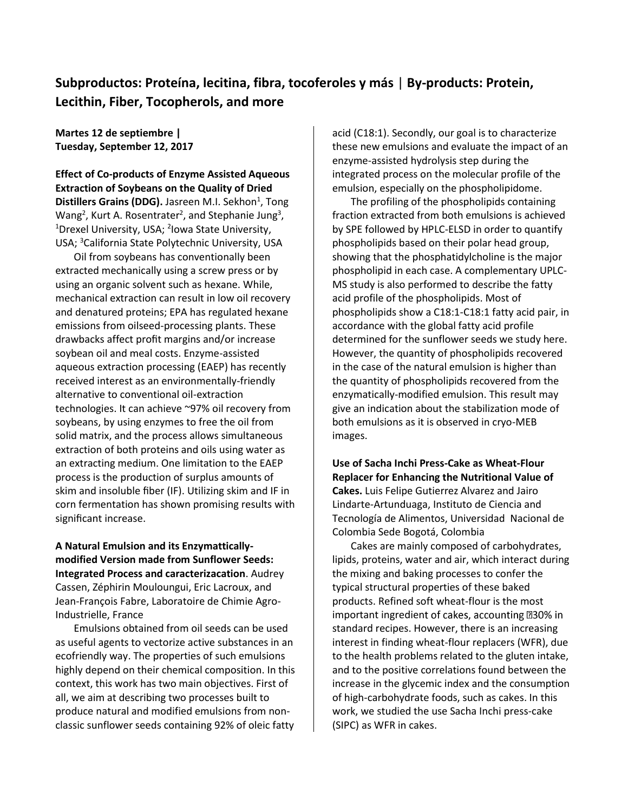## **Subproductos: Proteína, lecitina, fibra, tocoferoles y más** | **By-products: Protein, Lecithin, Fiber, Tocopherols, and more**

**Martes 12 de septiembre | Tuesday, September 12, 2017**

**Effect of Co-products of Enzyme Assisted Aqueous Extraction of Soybeans on the Quality of Dried Distillers Grains (DDG).** Jasreen M.I. Sekhon<sup>1</sup>, Tong Wang<sup>2</sup>, Kurt A. Rosentrater<sup>2</sup>, and Stephanie Jung<sup>3</sup>, <sup>1</sup>Drexel University, USA; <sup>2</sup>lowa State University, USA; <sup>3</sup>California State Polytechnic University, USA

Oil from soybeans has conventionally been extracted mechanically using a screw press or by using an organic solvent such as hexane. While, mechanical extraction can result in low oil recovery and denatured proteins; EPA has regulated hexane emissions from oilseed-processing plants. These drawbacks affect profit margins and/or increase soybean oil and meal costs. Enzyme-assisted aqueous extraction processing (EAEP) has recently received interest as an environmentally-friendly alternative to conventional oil-extraction technologies. It can achieve ~97% oil recovery from soybeans, by using enzymes to free the oil from solid matrix, and the process allows simultaneous extraction of both proteins and oils using water as an extracting medium. One limitation to the EAEP process is the production of surplus amounts of skim and insoluble fiber (IF). Utilizing skim and IF in corn fermentation has shown promising results with significant increase.

**A Natural Emulsion and its Enzymatticallymodified Version made from Sunflower Seeds: Integrated Process and caracterizacation**. Audrey Cassen, Zéphirin Mouloungui, Eric Lacroux, and Jean-François Fabre, Laboratoire de Chimie Agro-Industrielle, France

Emulsions obtained from oil seeds can be used as useful agents to vectorize active substances in an ecofriendly way. The properties of such emulsions highly depend on their chemical composition. In this context, this work has two main objectives. First of all, we aim at describing two processes built to produce natural and modified emulsions from nonclassic sunflower seeds containing 92% of oleic fatty

acid (C18:1). Secondly, our goal is to characterize these new emulsions and evaluate the impact of an enzyme-assisted hydrolysis step during the integrated process on the molecular profile of the emulsion, especially on the phospholipidome.

The profiling of the phospholipids containing fraction extracted from both emulsions is achieved by SPE followed by HPLC-ELSD in order to quantify phospholipids based on their polar head group, showing that the phosphatidylcholine is the major phospholipid in each case. A complementary UPLC-MS study is also performed to describe the fatty acid profile of the phospholipids. Most of phospholipids show a C18:1-C18:1 fatty acid pair, in accordance with the global fatty acid profile determined for the sunflower seeds we study here. However, the quantity of phospholipids recovered in the case of the natural emulsion is higher than the quantity of phospholipids recovered from the enzymatically-modified emulsion. This result may give an indication about the stabilization mode of both emulsions as it is observed in cryo-MEB images.

**Use of Sacha Inchi Press-Cake as Wheat-Flour Replacer for Enhancing the Nutritional Value of Cakes.** Luis Felipe Gutierrez Alvarez and Jairo Lindarte-Artunduaga, Instituto de Ciencia and Tecnología de Alimentos, Universidad Nacional de Colombia Sede Bogotá, Colombia

Cakes are mainly composed of carbohydrates, lipids, proteins, water and air, which interact during the mixing and baking processes to confer the typical structural properties of these baked products. Refined soft wheat-flour is the most important ingredient of cakes, accounting 230% in standard recipes. However, there is an increasing interest in finding wheat-flour replacers (WFR), due to the health problems related to the gluten intake, and to the positive correlations found between the increase in the glycemic index and the consumption of high-carbohydrate foods, such as cakes. In this work, we studied the use Sacha Inchi press-cake (SIPC) as WFR in cakes.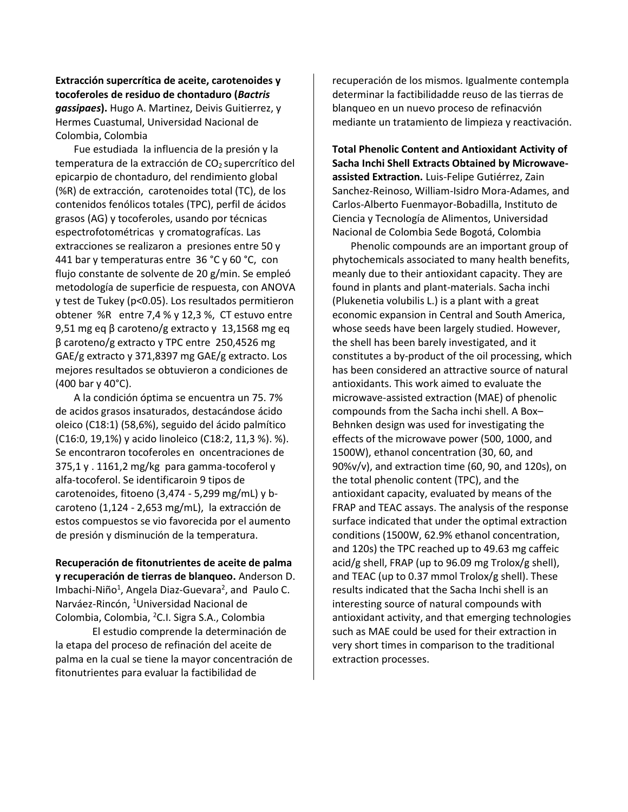**Extracción supercrítica de aceite, carotenoides y tocoferoles de residuo de chontaduro (***Bactris gassipaes***).** Hugo A. Martinez, Deivis Guitierrez, y Hermes Cuastumal, Universidad Nacional de Colombia, Colombia

Fue estudiada la influencia de la presión y la temperatura de la extracción de CO<sub>2</sub> supercrítico del epicarpio de chontaduro, del rendimiento global (%R) de extracción, carotenoides total (TC), de los contenidos fenólicos totales (TPC), perfil de ácidos grasos (AG) y tocoferoles, usando por técnicas espectrofotométricas y cromatografícas. Las extracciones se realizaron a presiones entre 50 y 441 bar y temperaturas entre 36 °C y 60 °C, con flujo constante de solvente de 20 g/min. Se empleó metodología de superficie de respuesta, con ANOVA y test de Tukey (p<0.05). Los resultados permitieron obtener %R entre 7,4 % y 12,3 %, CT estuvo entre 9,51 mg eq β caroteno/g extracto y 13,1568 mg eq β caroteno/g extracto y TPC entre 250,4526 mg GAE/g extracto y 371,8397 mg GAE/g extracto. Los mejores resultados se obtuvieron a condiciones de (400 bar y 40°C).

A la condición óptima se encuentra un 75. 7% de acidos grasos insaturados, destacándose ácido oleico (C18:1) (58,6%), seguido del ácido palmítico (C16:0, 19,1%) y acido linoleico (C18:2, 11,3 %). %). Se encontraron tocoferoles en oncentraciones de 375,1 y . 1161,2 mg/kg para gamma-tocoferol y alfa-tocoferol. Se identificaroin 9 tipos de carotenoides, fitoeno (3,474 - 5,299 mg/mL) y bcaroteno (1,124 - 2,653 mg/mL), la extracción de estos compuestos se vio favorecida por el aumento de presión y disminución de la temperatura.

**Recuperación de fitonutrientes de aceite de palma y recuperación de tierras de blanqueo.** Anderson D. Imbachi-Niño<sup>1</sup>, Angela Diaz-Guevara<sup>2</sup>, and Paulo C. Narváez-Rincón, <sup>1</sup>Universidad Nacional de Colombia, Colombia, <sup>2</sup>C.I. Sigra S.A., Colombia

El estudio comprende la determinación de la etapa del proceso de refinación del aceite de palma en la cual se tiene la mayor concentración de fitonutrientes para evaluar la factibilidad de

recuperación de los mismos. Igualmente contempla determinar la factibilidadde reuso de las tierras de blanqueo en un nuevo proceso de refinacvión mediante un tratamiento de limpieza y reactivación.

**Total Phenolic Content and Antioxidant Activity of Sacha Inchi Shell Extracts Obtained by Microwaveassisted Extraction.** Luis-Felipe Gutiérrez, Zain Sanchez-Reinoso, William-Isidro Mora-Adames, and Carlos-Alberto Fuenmayor-Bobadilla, Instituto de Ciencia y Tecnología de Alimentos, Universidad Nacional de Colombia Sede Bogotá, Colombia

Phenolic compounds are an important group of phytochemicals associated to many health benefits, meanly due to their antioxidant capacity. They are found in plants and plant-materials. Sacha inchi (Plukenetia volubilis L.) is a plant with a great economic expansion in Central and South America, whose seeds have been largely studied. However, the shell has been barely investigated, and it constitutes a by-product of the oil processing, which has been considered an attractive source of natural antioxidants. This work aimed to evaluate the microwave-assisted extraction (MAE) of phenolic compounds from the Sacha inchi shell. A Box– Behnken design was used for investigating the effects of the microwave power (500, 1000, and 1500W), ethanol concentration (30, 60, and 90%v/v), and extraction time (60, 90, and 120s), on the total phenolic content (TPC), and the antioxidant capacity, evaluated by means of the FRAP and TEAC assays. The analysis of the response surface indicated that under the optimal extraction conditions (1500W, 62.9% ethanol concentration, and 120s) the TPC reached up to 49.63 mg caffeic acid/g shell, FRAP (up to 96.09 mg Trolox/g shell), and TEAC (up to 0.37 mmol Trolox/g shell). These results indicated that the Sacha Inchi shell is an interesting source of natural compounds with antioxidant activity, and that emerging technologies such as MAE could be used for their extraction in very short times in comparison to the traditional extraction processes.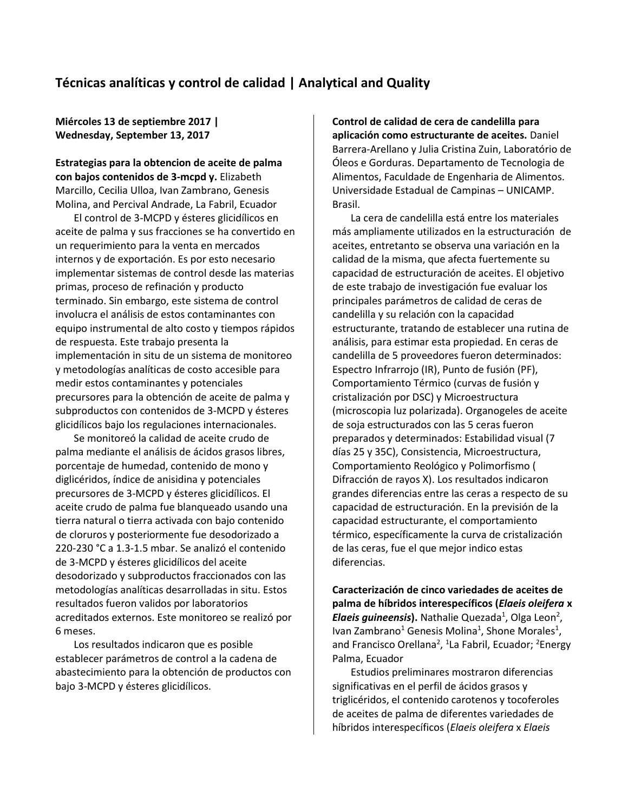## **Técnicas analíticas y control de calidad | Analytical and Quality**

**Miércoles 13 de septiembre 2017 | Wednesday, September 13, 2017**

**Estrategias para la obtencion de aceite de palma con bajos contenidos de 3-mcpd y.** Elizabeth Marcillo, Cecilia Ulloa, Ivan Zambrano, Genesis Molina, and Percival Andrade, La Fabril, Ecuador

El control de 3-MCPD y ésteres glicidílicos en aceite de palma y sus fracciones se ha convertido en un requerimiento para la venta en mercados internos y de exportación. Es por esto necesario implementar sistemas de control desde las materias primas, proceso de refinación y producto terminado. Sin embargo, este sistema de control involucra el análisis de estos contaminantes con equipo instrumental de alto costo y tiempos rápidos de respuesta. Este trabajo presenta la implementación in situ de un sistema de monitoreo y metodologías analíticas de costo accesible para medir estos contaminantes y potenciales precursores para la obtención de aceite de palma y subproductos con contenidos de 3-MCPD y ésteres glicidílicos bajo los regulaciones internacionales.

Se monitoreó la calidad de aceite crudo de palma mediante el análisis de ácidos grasos libres, porcentaje de humedad, contenido de mono y diglicéridos, índice de anisidina y potenciales precursores de 3-MCPD y ésteres glicidílicos. El aceite crudo de palma fue blanqueado usando una tierra natural o tierra activada con bajo contenido de cloruros y posteriormente fue desodorizado a 220-230 °C a 1.3-1.5 mbar. Se analizó el contenido de 3-MCPD y ésteres glicidílicos del aceite desodorizado y subproductos fraccionados con las metodologías analíticas desarrolladas in situ. Estos resultados fueron validos por laboratorios acreditados externos. Este monitoreo se realizó por 6 meses.

Los resultados indicaron que es posible establecer parámetros de control a la cadena de abastecimiento para la obtención de productos con bajo 3-MCPD y ésteres glicidílicos.

**Control de calidad de cera de candelilla para aplicación como estructurante de aceites.** Daniel Barrera-Arellano y Julia Cristina Zuin, Laboratório de Óleos e Gorduras. Departamento de Tecnologia de Alimentos, Faculdade de Engenharia de Alimentos. Universidade Estadual de Campinas – UNICAMP. Brasil.

La cera de candelilla está entre los materiales más ampliamente utilizados en la estructuración de aceites, entretanto se observa una variación en la calidad de la misma, que afecta fuertemente su capacidad de estructuración de aceites. El objetivo de este trabajo de investigación fue evaluar los principales parámetros de calidad de ceras de candelilla y su relación con la capacidad estructurante, tratando de establecer una rutina de análisis, para estimar esta propiedad. En ceras de candelilla de 5 proveedores fueron determinados: Espectro Infrarrojo (IR), Punto de fusión (PF), Comportamiento Térmico (curvas de fusión y cristalización por DSC) y Microestructura (microscopia luz polarizada). Organogeles de aceite de soja estructurados con las 5 ceras fueron preparados y determinados: Estabilidad visual (7 días 25 y 35C), Consistencia, Microestructura, Comportamiento Reológico y Polimorfismo ( Difracción de rayos X). Los resultados indicaron grandes diferencias entre las ceras a respecto de su capacidad de estructuración. En la previsión de la capacidad estructurante, el comportamiento térmico, específicamente la curva de cristalización de las ceras, fue el que mejor indico estas diferencias.

**Caracterización de cinco variedades de aceites de palma de híbridos interespecíficos (***Elaeis oleifera* **x Elaeis guineensis).** Nathalie Quezada<sup>1</sup>, Olga Leon<sup>2</sup>, Ivan Zambrano<sup>1</sup> Genesis Molina<sup>1</sup>, Shone Morales<sup>1</sup>, and Francisco Orellana<sup>2</sup>, <sup>1</sup>La Fabril, Ecuador; <sup>2</sup>Energy Palma, Ecuador

Estudios preliminares mostraron diferencias significativas en el perfil de ácidos grasos y triglicéridos, el contenido carotenos y tocoferoles de aceites de palma de diferentes variedades de híbridos interespecíficos (*Elaeis oleifera* x *Elaeis*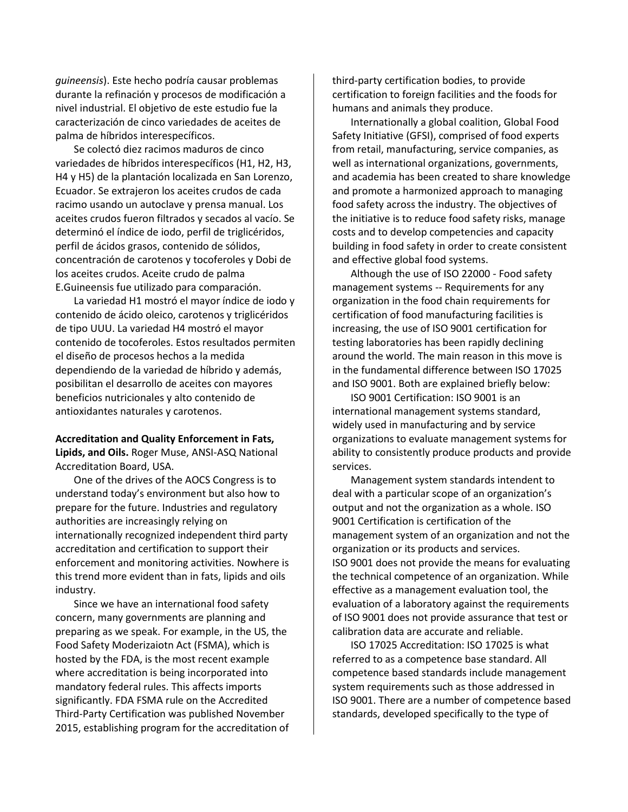*guineensis*). Este hecho podría causar problemas durante la refinación y procesos de modificación a nivel industrial. El objetivo de este estudio fue la caracterización de cinco variedades de aceites de palma de híbridos interespecíficos.

Se colectó diez racimos maduros de cinco variedades de híbridos interespecíficos (H1, H2, H3, H4 y H5) de la plantación localizada en San Lorenzo, Ecuador. Se extrajeron los aceites crudos de cada racimo usando un autoclave y prensa manual. Los aceites crudos fueron filtrados y secados al vacío. Se determinó el índice de iodo, perfil de triglicéridos, perfil de ácidos grasos, contenido de sólidos, concentración de carotenos y tocoferoles y Dobi de los aceites crudos. Aceite crudo de palma E.Guineensis fue utilizado para comparación.

La variedad H1 mostró el mayor índice de iodo y contenido de ácido oleico, carotenos y triglicéridos de tipo UUU. La variedad H4 mostró el mayor contenido de tocoferoles. Estos resultados permiten el diseño de procesos hechos a la medida dependiendo de la variedad de híbrido y además, posibilitan el desarrollo de aceites con mayores beneficios nutricionales y alto contenido de antioxidantes naturales y carotenos.

#### **Accreditation and Quality Enforcement in Fats,**

**Lipids, and Oils.** Roger Muse, ANSI-ASQ National Accreditation Board, USA.

One of the drives of the AOCS Congress is to understand today's environment but also how to prepare for the future. Industries and regulatory authorities are increasingly relying on internationally recognized independent third party accreditation and certification to support their enforcement and monitoring activities. Nowhere is this trend more evident than in fats, lipids and oils industry.

Since we have an international food safety concern, many governments are planning and preparing as we speak. For example, in the US, the Food Safety Moderizaiotn Act (FSMA), which is hosted by the FDA, is the most recent example where accreditation is being incorporated into mandatory federal rules. This affects imports significantly. FDA FSMA rule on the Accredited Third-Party Certification was published November 2015, establishing program for the accreditation of third-party certification bodies, to provide certification to foreign facilities and the foods for humans and animals they produce.

Internationally a global coalition, Global Food Safety Initiative (GFSI), comprised of food experts from retail, manufacturing, service companies, as well as international organizations, governments, and academia has been created to share knowledge and promote a harmonized approach to managing food safety across the industry. The objectives of the initiative is to reduce food safety risks, manage costs and to develop competencies and capacity building in food safety in order to create consistent and effective global food systems.

Although the use of ISO 22000 - Food safety management systems -- Requirements for any organization in the food chain requirements for certification of food manufacturing facilities is increasing, the use of ISO 9001 certification for testing laboratories has been rapidly declining around the world. The main reason in this move is in the fundamental difference between ISO 17025 and ISO 9001. Both are explained briefly below:

ISO 9001 Certification: ISO 9001 is an international management systems standard, widely used in manufacturing and by service organizations to evaluate management systems for ability to consistently produce products and provide services.

Management system standards intendent to deal with a particular scope of an organization's output and not the organization as a whole. ISO 9001 Certification is certification of the management system of an organization and not the organization or its products and services. ISO 9001 does not provide the means for evaluating the technical competence of an organization. While effective as a management evaluation tool, the evaluation of a laboratory against the requirements of ISO 9001 does not provide assurance that test or calibration data are accurate and reliable.

ISO 17025 Accreditation: ISO 17025 is what referred to as a competence base standard. All competence based standards include management system requirements such as those addressed in ISO 9001. There are a number of competence based standards, developed specifically to the type of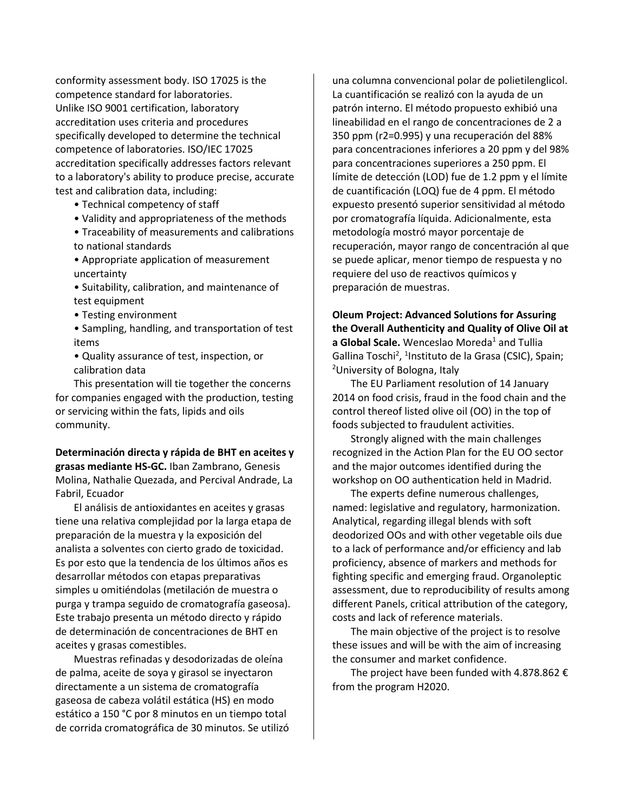conformity assessment body. ISO 17025 is the competence standard for laboratories. Unlike ISO 9001 certification, laboratory accreditation uses criteria and procedures specifically developed to determine the technical competence of laboratories. ISO/IEC 17025 accreditation specifically addresses factors relevant to a laboratory's ability to produce precise, accurate test and calibration data, including:

- Technical competency of staff
- Validity and appropriateness of the methods
- Traceability of measurements and calibrations to national standards
- Appropriate application of measurement uncertainty
- Suitability, calibration, and maintenance of test equipment
- Testing environment
- Sampling, handling, and transportation of test items
- Quality assurance of test, inspection, or calibration data

This presentation will tie together the concerns for companies engaged with the production, testing or servicing within the fats, lipids and oils community.

**Determinación directa y rápida de BHT en aceites y grasas mediante HS-GC.** Iban Zambrano, Genesis Molina, Nathalie Quezada, and Percival Andrade, La Fabril, Ecuador

El análisis de antioxidantes en aceites y grasas tiene una relativa complejidad por la larga etapa de preparación de la muestra y la exposición del analista a solventes con cierto grado de toxicidad. Es por esto que la tendencia de los últimos años es desarrollar métodos con etapas preparativas simples u omitiéndolas (metilación de muestra o purga y trampa seguido de cromatografía gaseosa). Este trabajo presenta un método directo y rápido de determinación de concentraciones de BHT en aceites y grasas comestibles.

Muestras refinadas y desodorizadas de oleína de palma, aceite de soya y girasol se inyectaron directamente a un sistema de cromatografía gaseosa de cabeza volátil estática (HS) en modo estático a 150 °C por 8 minutos en un tiempo total de corrida cromatográfica de 30 minutos. Se utilizó una columna convencional polar de polietilenglicol. La cuantificación se realizó con la ayuda de un patrón interno. El método propuesto exhibió una lineabilidad en el rango de concentraciones de 2 a 350 ppm (r2=0.995) y una recuperación del 88% para concentraciones inferiores a 20 ppm y del 98% para concentraciones superiores a 250 ppm. El límite de detección (LOD) fue de 1.2 ppm y el límite de cuantificación (LOQ) fue de 4 ppm. El método expuesto presentó superior sensitividad al método por cromatografía líquida. Adicionalmente, esta metodología mostró mayor porcentaje de recuperación, mayor rango de concentración al que se puede aplicar, menor tiempo de respuesta y no requiere del uso de reactivos químicos y preparación de muestras.

**Oleum Project: Advanced Solutions for Assuring the Overall Authenticity and Quality of Olive Oil at a Global Scale.** Wenceslao Moreda<sup>1</sup> and Tullia Gallina Toschi<sup>2</sup>, <sup>1</sup>Instituto de la Grasa (CSIC), Spain; <sup>2</sup>University of Bologna, Italy

The EU Parliament resolution of 14 January 2014 on food crisis, fraud in the food chain and the control thereof listed olive oil (OO) in the top of foods subjected to fraudulent activities.

Strongly aligned with the main challenges recognized in the Action Plan for the EU OO sector and the major outcomes identified during the workshop on OO authentication held in Madrid.

The experts define numerous challenges, named: legislative and regulatory, harmonization. Analytical, regarding illegal blends with soft deodorized OOs and with other vegetable oils due to a lack of performance and/or efficiency and lab proficiency, absence of markers and methods for fighting specific and emerging fraud. Organoleptic assessment, due to reproducibility of results among different Panels, critical attribution of the category, costs and lack of reference materials.

The main objective of the project is to resolve these issues and will be with the aim of increasing the consumer and market confidence.

The project have been funded with 4.878.862  $\epsilon$ from the program H2020.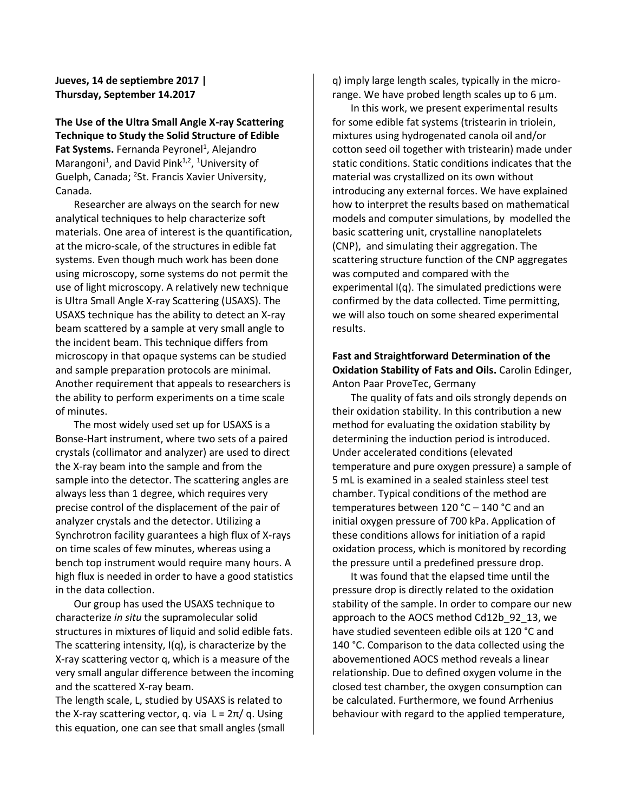#### **Jueves, 14 de septiembre 2017 | Thursday, September 14.2017**

**The Use of the Ultra Small Angle X-ray Scattering Technique to Study the Solid Structure of Edible**  Fat Systems. Fernanda Peyronel<sup>1</sup>, Alejandro Marangoni<sup>1</sup>, and David Pink<sup>1,2</sup>, <sup>1</sup>University of Guelph, Canada; <sup>2</sup>St. Francis Xavier University, Canada*.*

Researcher are always on the search for new analytical techniques to help characterize soft materials. One area of interest is the quantification, at the micro-scale, of the structures in edible fat systems. Even though much work has been done using microscopy, some systems do not permit the use of light microscopy. A relatively new technique is Ultra Small Angle X-ray Scattering (USAXS). The USAXS technique has the ability to detect an X-ray beam scattered by a sample at very small angle to the incident beam. This technique differs from microscopy in that opaque systems can be studied and sample preparation protocols are minimal. Another requirement that appeals to researchers is the ability to perform experiments on a time scale of minutes.

The most widely used set up for USAXS is a Bonse-Hart instrument, where two sets of a paired crystals (collimator and analyzer) are used to direct the X-ray beam into the sample and from the sample into the detector. The scattering angles are always less than 1 degree, which requires very precise control of the displacement of the pair of analyzer crystals and the detector. Utilizing a Synchrotron facility guarantees a high flux of X-rays on time scales of few minutes, whereas using a bench top instrument would require many hours. A high flux is needed in order to have a good statistics in the data collection.

Our group has used the USAXS technique to characterize *in situ* the supramolecular solid structures in mixtures of liquid and solid edible fats. The scattering intensity, I(q), is characterize by the X-ray scattering vector q, which is a measure of the very small angular difference between the incoming and the scattered X-ray beam.

The length scale, L, studied by USAXS is related to the X-ray scattering vector, q. via  $L = 2π/ q$ . Using this equation, one can see that small angles (small q) imply large length scales, typically in the microrange. We have probed length scales up to 6  $\mu$ m.

In this work, we present experimental results for some edible fat systems (tristearin in triolein, mixtures using hydrogenated canola oil and/or cotton seed oil together with tristearin) made under static conditions. Static conditions indicates that the material was crystallized on its own without introducing any external forces. We have explained how to interpret the results based on mathematical models and computer simulations, by modelled the basic scattering unit, crystalline nanoplatelets (CNP), and simulating their aggregation. The scattering structure function of the CNP aggregates was computed and compared with the experimental I(q). The simulated predictions were confirmed by the data collected. Time permitting, we will also touch on some sheared experimental results.

#### **Fast and Straightforward Determination of the Oxidation Stability of Fats and Oils.** Carolin Edinger, Anton Paar ProveTec, Germany

The quality of fats and oils strongly depends on their oxidation stability. In this contribution a new method for evaluating the oxidation stability by determining the induction period is introduced. Under accelerated conditions (elevated temperature and pure oxygen pressure) a sample of 5 mL is examined in a sealed stainless steel test chamber. Typical conditions of the method are temperatures between 120 °C – 140 °C and an initial oxygen pressure of 700 kPa. Application of these conditions allows for initiation of a rapid oxidation process, which is monitored by recording the pressure until a predefined pressure drop.

It was found that the elapsed time until the pressure drop is directly related to the oxidation stability of the sample. In order to compare our new approach to the AOCS method Cd12b\_92\_13, we have studied seventeen edible oils at 120 °C and 140 °C. Comparison to the data collected using the abovementioned AOCS method reveals a linear relationship. Due to defined oxygen volume in the closed test chamber, the oxygen consumption can be calculated. Furthermore, we found Arrhenius behaviour with regard to the applied temperature,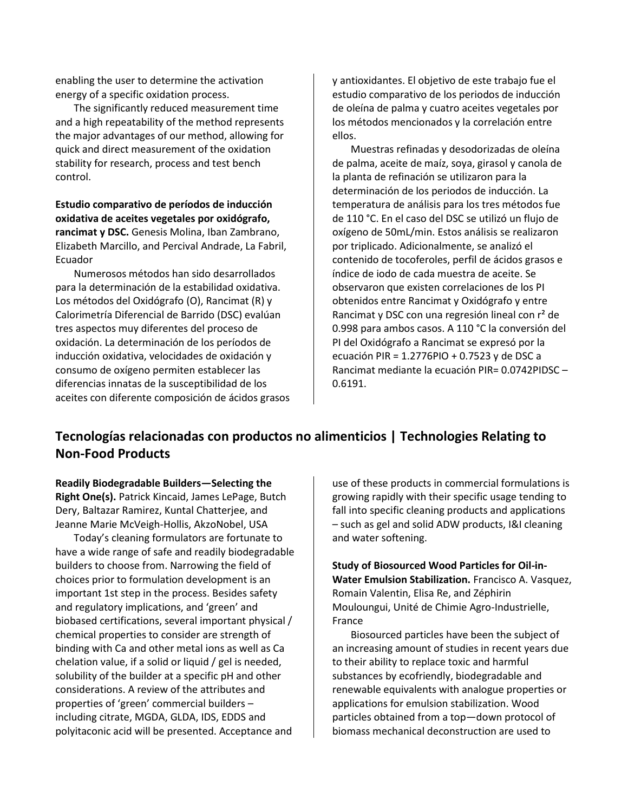enabling the user to determine the activation energy of a specific oxidation process.

The significantly reduced measurement time and a high repeatability of the method represents the major advantages of our method, allowing for quick and direct measurement of the oxidation stability for research, process and test bench control.

**Estudio comparativo de períodos de inducción oxidativa de aceites vegetales por oxidógrafo, rancimat y DSC.** Genesis Molina, Iban Zambrano, Elizabeth Marcillo, and Percival Andrade, La Fabril, Ecuador

Numerosos métodos han sido desarrollados para la determinación de la estabilidad oxidativa. Los métodos del Oxidógrafo (O), Rancimat (R) y Calorimetría Diferencial de Barrido (DSC) evalúan tres aspectos muy diferentes del proceso de oxidación. La determinación de los períodos de inducción oxidativa, velocidades de oxidación y consumo de oxígeno permiten establecer las diferencias innatas de la susceptibilidad de los aceites con diferente composición de ácidos grasos y antioxidantes. El objetivo de este trabajo fue el estudio comparativo de los periodos de inducción de oleína de palma y cuatro aceites vegetales por los métodos mencionados y la correlación entre ellos.

Muestras refinadas y desodorizadas de oleína de palma, aceite de maíz, soya, girasol y canola de la planta de refinación se utilizaron para la determinación de los periodos de inducción. La temperatura de análisis para los tres métodos fue de 110 °C. En el caso del DSC se utilizó un flujo de oxígeno de 50mL/min. Estos análisis se realizaron por triplicado. Adicionalmente, se analizó el contenido de tocoferoles, perfil de ácidos grasos e índice de iodo de cada muestra de aceite. Se observaron que existen correlaciones de los PI obtenidos entre Rancimat y Oxidógrafo y entre Rancimat y DSC con una regresión lineal con r<sup>2</sup> de 0.998 para ambos casos. A 110 °C la conversión del PI del Oxidógrafo a Rancimat se expresó por la ecuación PIR = 1.2776PIO + 0.7523 y de DSC a Rancimat mediante la ecuación PIR= 0.0742PIDSC – 0.6191.

## **Tecnologías relacionadas con productos no alimenticios | Technologies Relating to Non-Food Products**

**Readily Biodegradable Builders—Selecting the Right One(s).** Patrick Kincaid, James LePage, Butch Dery, Baltazar Ramirez, Kuntal Chatterjee, and Jeanne Marie McVeigh-Hollis, AkzoNobel, USA

Today's cleaning formulators are fortunate to have a wide range of safe and readily biodegradable builders to choose from. Narrowing the field of choices prior to formulation development is an important 1st step in the process. Besides safety and regulatory implications, and 'green' and biobased certifications, several important physical / chemical properties to consider are strength of binding with Ca and other metal ions as well as Ca chelation value, if a solid or liquid / gel is needed, solubility of the builder at a specific pH and other considerations. A review of the attributes and properties of 'green' commercial builders – including citrate, MGDA, GLDA, IDS, EDDS and polyitaconic acid will be presented. Acceptance and

use of these products in commercial formulations is growing rapidly with their specific usage tending to fall into specific cleaning products and applications – such as gel and solid ADW products, I&I cleaning and water softening.

**Study of Biosourced Wood Particles for Oil-in-Water Emulsion Stabilization.** Francisco A. Vasquez, Romain Valentin, Elisa Re, and Zéphirin Mouloungui, Unité de Chimie Agro-Industrielle, France

Biosourced particles have been the subject of an increasing amount of studies in recent years due to their ability to replace toxic and harmful substances by ecofriendly, biodegradable and renewable equivalents with analogue properties or applications for emulsion stabilization. Wood particles obtained from a top—down protocol of biomass mechanical deconstruction are used to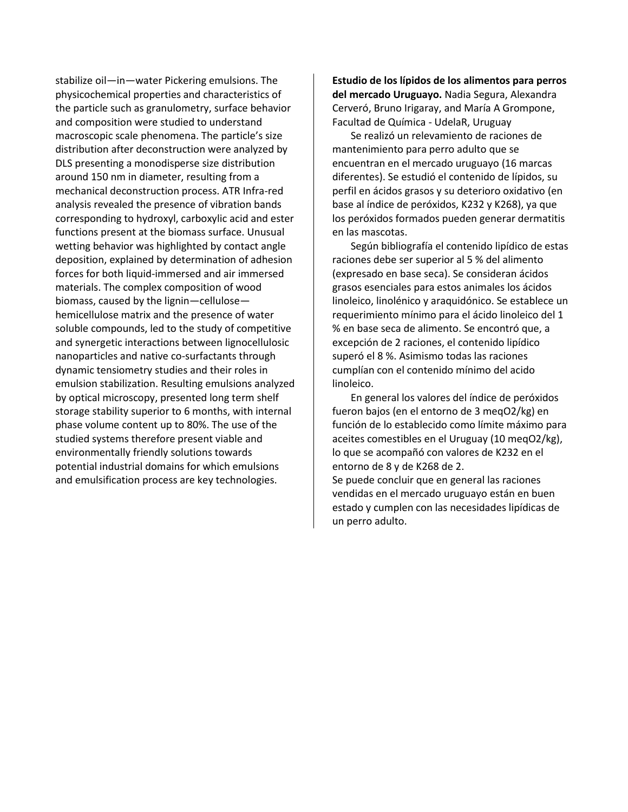stabilize oil—in—water Pickering emulsions. The physicochemical properties and characteristics of the particle such as granulometry, surface behavior and composition were studied to understand macroscopic scale phenomena. The particle's size distribution after deconstruction were analyzed by DLS presenting a monodisperse size distribution around 150 nm in diameter, resulting from a mechanical deconstruction process. ATR Infra-red analysis revealed the presence of vibration bands corresponding to hydroxyl, carboxylic acid and ester functions present at the biomass surface. Unusual wetting behavior was highlighted by contact angle deposition, explained by determination of adhesion forces for both liquid-immersed and air immersed materials. The complex composition of wood biomass, caused by the lignin—cellulose hemicellulose matrix and the presence of water soluble compounds, led to the study of competitive and synergetic interactions between lignocellulosic nanoparticles and native co-surfactants through dynamic tensiometry studies and their roles in emulsion stabilization. Resulting emulsions analyzed by optical microscopy, presented long term shelf storage stability superior to 6 months, with internal phase volume content up to 80%. The use of the studied systems therefore present viable and environmentally friendly solutions towards potential industrial domains for which emulsions and emulsification process are key technologies.

**Estudio de los lípidos de los alimentos para perros del mercado Uruguayo.** Nadia Segura, Alexandra Cerveró, Bruno Irigaray, and María A Grompone, Facultad de Química - UdelaR, Uruguay

Se realizó un relevamiento de raciones de mantenimiento para perro adulto que se encuentran en el mercado uruguayo (16 marcas diferentes). Se estudió el contenido de lípidos, su perfil en ácidos grasos y su deterioro oxidativo (en base al índice de peróxidos, K232 y K268), ya que los peróxidos formados pueden generar dermatitis en las mascotas.

Según bibliografía el contenido lipídico de estas raciones debe ser superior al 5 % del alimento (expresado en base seca). Se consideran ácidos grasos esenciales para estos animales los ácidos linoleico, linolénico y araquidónico. Se establece un requerimiento mínimo para el ácido linoleico del 1 % en base seca de alimento. Se encontró que, a excepción de 2 raciones, el contenido lipídico superó el 8 %. Asimismo todas las raciones cumplían con el contenido mínimo del acido linoleico.

En general los valores del índice de peróxidos fueron bajos (en el entorno de 3 meqO2/kg) en función de lo establecido como límite máximo para aceites comestibles en el Uruguay (10 meqO2/kg), lo que se acompañó con valores de K232 en el entorno de 8 y de K268 de 2. Se puede concluir que en general las raciones vendidas en el mercado uruguayo están en buen estado y cumplen con las necesidades lipídicas de

un perro adulto.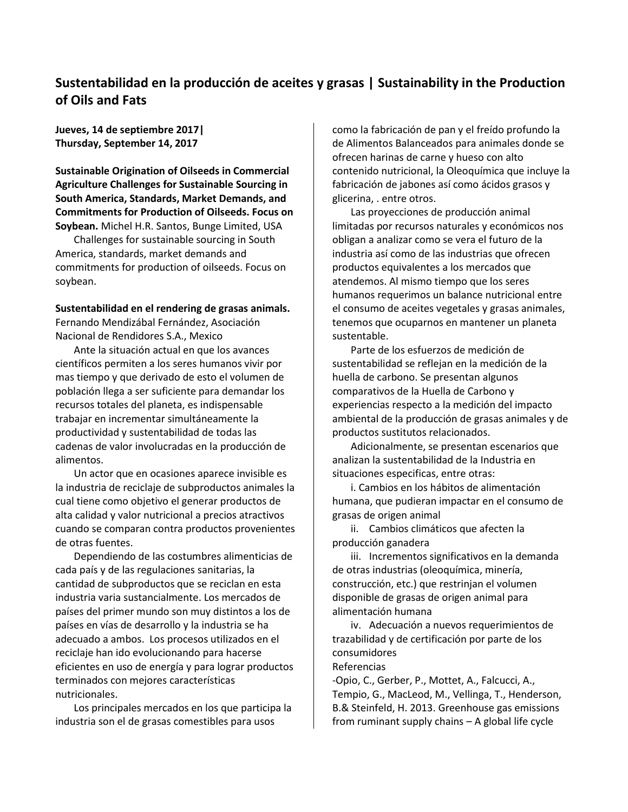## **Sustentabilidad en la producción de aceites y grasas | Sustainability in the Production of Oils and Fats**

**Jueves, 14 de septiembre 2017| Thursday, September 14, 2017**

**Sustainable Origination of Oilseeds in Commercial Agriculture Challenges for Sustainable Sourcing in South America, Standards, Market Demands, and Commitments for Production of Oilseeds. Focus on Soybean.** Michel H.R. Santos, Bunge Limited, USA

Challenges for sustainable sourcing in South America, standards, market demands and commitments for production of oilseeds. Focus on soybean.

#### **Sustentabilidad en el rendering de grasas animals.**

Fernando Mendizábal Fernández, Asociación Nacional de Rendidores S.A., Mexico

Ante la situación actual en que los avances científicos permiten a los seres humanos vivir por mas tiempo y que derivado de esto el volumen de población llega a ser suficiente para demandar los recursos totales del planeta, es indispensable trabajar en incrementar simultáneamente la productividad y sustentabilidad de todas las cadenas de valor involucradas en la producción de alimentos.

Un actor que en ocasiones aparece invisible es la industria de reciclaje de subproductos animales la cual tiene como objetivo el generar productos de alta calidad y valor nutricional a precios atractivos cuando se comparan contra productos provenientes de otras fuentes.

Dependiendo de las costumbres alimenticias de cada país y de las regulaciones sanitarias, la cantidad de subproductos que se reciclan en esta industria varia sustancialmente. Los mercados de países del primer mundo son muy distintos a los de países en vías de desarrollo y la industria se ha adecuado a ambos. Los procesos utilizados en el reciclaje han ido evolucionando para hacerse eficientes en uso de energía y para lograr productos terminados con mejores características nutricionales.

Los principales mercados en los que participa la industria son el de grasas comestibles para usos

como la fabricación de pan y el freído profundo la de Alimentos Balanceados para animales donde se ofrecen harinas de carne y hueso con alto contenido nutricional, la Oleoquímica que incluye la fabricación de jabones así como ácidos grasos y glicerina, . entre otros.

Las proyecciones de producción animal limitadas por recursos naturales y económicos nos obligan a analizar como se vera el futuro de la industria así como de las industrias que ofrecen productos equivalentes a los mercados que atendemos. Al mismo tiempo que los seres humanos requerimos un balance nutricional entre el consumo de aceites vegetales y grasas animales, tenemos que ocuparnos en mantener un planeta sustentable.

Parte de los esfuerzos de medición de sustentabilidad se reflejan en la medición de la huella de carbono. Se presentan algunos comparativos de la Huella de Carbono y experiencias respecto a la medición del impacto ambiental de la producción de grasas animales y de productos sustitutos relacionados.

Adicionalmente, se presentan escenarios que analizan la sustentabilidad de la Industria en situaciones especificas, entre otras:

i. Cambios en los hábitos de alimentación humana, que pudieran impactar en el consumo de grasas de origen animal

ii. Cambios climáticos que afecten la producción ganadera

iii. Incrementos significativos en la demanda de otras industrias (oleoquímica, minería, construcción, etc.) que restrinjan el volumen disponible de grasas de origen animal para alimentación humana

iv. Adecuación a nuevos requerimientos de trazabilidad y de certificación por parte de los consumidores

#### Referencias

-Opio, C., Gerber, P., Mottet, A., Falcucci, A., Tempio, G., MacLeod, M., Vellinga, T., Henderson, B.& Steinfeld, H. 2013. Greenhouse gas emissions from ruminant supply chains – A global life cycle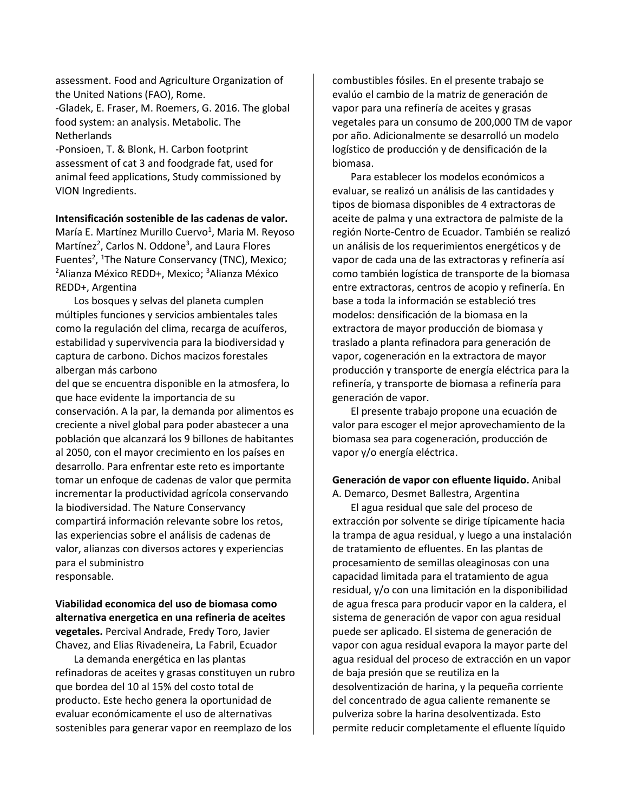assessment. Food and Agriculture Organization of the United Nations (FAO), Rome. -Gladek, E. Fraser, M. Roemers, G. 2016. The global food system: an analysis. Metabolic. The **Netherlands** 

-Ponsioen, T. & Blonk, H. Carbon footprint assessment of cat 3 and foodgrade fat, used for animal feed applications, Study commissioned by VION Ingredients.

**Intensificación sostenible de las cadenas de valor.**

María E. Martínez Murillo Cuervo<sup>1</sup>, Maria M. Reyoso Martínez<sup>2</sup>, Carlos N. Oddone<sup>3</sup>, and Laura Flores Fuentes<sup>2</sup>, <sup>1</sup>The Nature Conservancy (TNC), Mexico; <sup>2</sup>Alianza México REDD+, Mexico; <sup>3</sup>Alianza México REDD+, Argentina

Los bosques y selvas del planeta cumplen múltiples funciones y servicios ambientales tales como la regulación del clima, recarga de acuíferos, estabilidad y supervivencia para la biodiversidad y captura de carbono. Dichos macizos forestales albergan más carbono

del que se encuentra disponible en la atmosfera, lo que hace evidente la importancia de su conservación. A la par, la demanda por alimentos es creciente a nivel global para poder abastecer a una población que alcanzará los 9 billones de habitantes al 2050, con el mayor crecimiento en los países en desarrollo. Para enfrentar este reto es importante tomar un enfoque de cadenas de valor que permita incrementar la productividad agrícola conservando la biodiversidad. The Nature Conservancy compartirá información relevante sobre los retos, las experiencias sobre el análisis de cadenas de valor, alianzas con diversos actores y experiencias para el subministro responsable.

**Viabilidad economica del uso de biomasa como alternativa energetica en una refineria de aceites vegetales.** Percival Andrade, Fredy Toro, Javier Chavez, and Elias Rivadeneira, La Fabril, Ecuador

La demanda energética en las plantas refinadoras de aceites y grasas constituyen un rubro que bordea del 10 al 15% del costo total de producto. Este hecho genera la oportunidad de evaluar económicamente el uso de alternativas sostenibles para generar vapor en reemplazo de los

combustibles fósiles. En el presente trabajo se evalúo el cambio de la matriz de generación de vapor para una refinería de aceites y grasas vegetales para un consumo de 200,000 TM de vapor por año. Adicionalmente se desarrolló un modelo logístico de producción y de densificación de la biomasa.

Para establecer los modelos económicos a evaluar, se realizó un análisis de las cantidades y tipos de biomasa disponibles de 4 extractoras de aceite de palma y una extractora de palmiste de la región Norte-Centro de Ecuador. También se realizó un análisis de los requerimientos energéticos y de vapor de cada una de las extractoras y refinería así como también logística de transporte de la biomasa entre extractoras, centros de acopio y refinería. En base a toda la información se estableció tres modelos: densificación de la biomasa en la extractora de mayor producción de biomasa y traslado a planta refinadora para generación de vapor, cogeneración en la extractora de mayor producción y transporte de energía eléctrica para la refinería, y transporte de biomasa a refinería para generación de vapor.

El presente trabajo propone una ecuación de valor para escoger el mejor aprovechamiento de la biomasa sea para cogeneración, producción de vapor y/o energía eléctrica.

**Generación de vapor con efluente liquido.** Anibal A. Demarco, Desmet Ballestra, Argentina

El agua residual que sale del proceso de extracción por solvente se dirige típicamente hacia la trampa de agua residual, y luego a una instalación de tratamiento de efluentes. En las plantas de procesamiento de semillas oleaginosas con una capacidad limitada para el tratamiento de agua residual, y/o con una limitación en la disponibilidad de agua fresca para producir vapor en la caldera, el sistema de generación de vapor con agua residual puede ser aplicado. El sistema de generación de vapor con agua residual evapora la mayor parte del agua residual del proceso de extracción en un vapor de baja presión que se reutiliza en la desolventización de harina, y la pequeña corriente del concentrado de agua caliente remanente se pulveriza sobre la harina desolventizada. Esto permite reducir completamente el efluente líquido